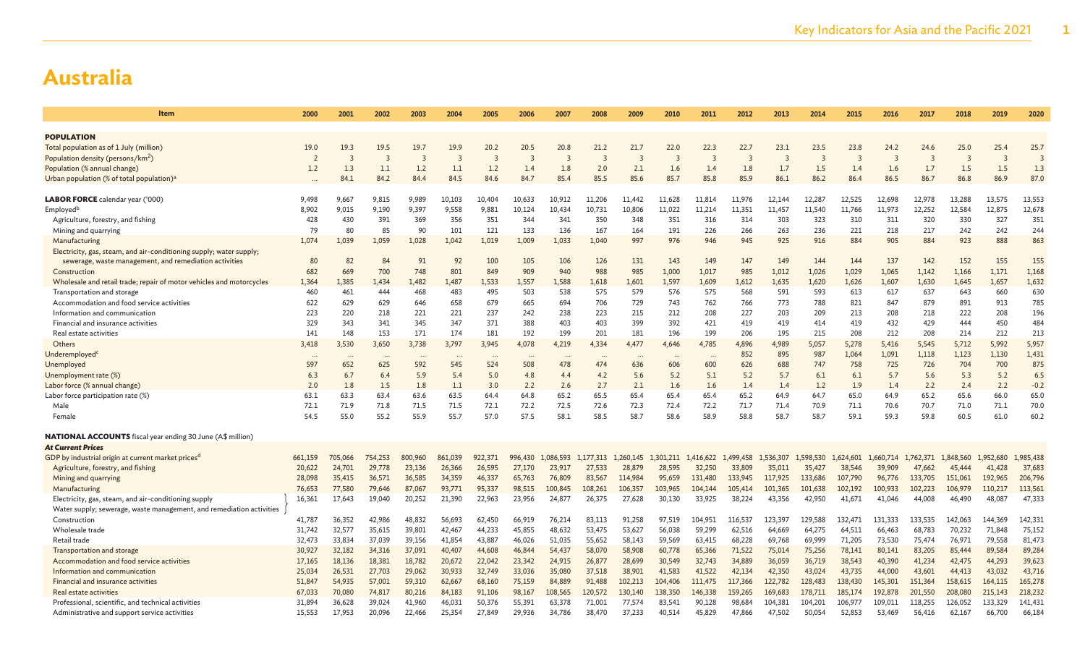| Item                                                                 | 2000    | 2001    | 2002                 | 2003    | 2004    | 2005           | 2006    | 2007           | 2008           | 2009           | 2010      | 2011      | 2012           | 2013                    | 2014           | 2015                    | 2016           | 2017      | 2018           | 2019      | 2020                    |
|----------------------------------------------------------------------|---------|---------|----------------------|---------|---------|----------------|---------|----------------|----------------|----------------|-----------|-----------|----------------|-------------------------|----------------|-------------------------|----------------|-----------|----------------|-----------|-------------------------|
|                                                                      |         |         |                      |         |         |                |         |                |                |                |           |           |                |                         |                |                         |                |           |                |           |                         |
| <b>POPULATION</b>                                                    |         |         |                      |         |         |                |         |                |                |                |           |           |                |                         |                |                         |                |           |                |           |                         |
| Total population as of 1 July (million)                              | 19.0    | 19.3    | 19.5                 | 19.7    | 19.9    | 20.2           | 20.5    | 20.8           | 21.2           | 21.7           | 22.0      | 22.3      | 22.7           | 23.1                    | 23.5           | 23.8                    | 24.2           | 24.6      | 25.0           | 25.4      | 25.7                    |
| Population density (persons/km <sup>2</sup> )                        |         |         | $\overline{3}$       | 3       | 3       | $\overline{3}$ |         | $\overline{3}$ | $\overline{z}$ | $\overline{3}$ | 3         | 3         | $\overline{3}$ | $\overline{\mathbf{3}}$ | $\overline{3}$ | $\overline{\mathbf{3}}$ | $\overline{3}$ | 3         | $\overline{3}$ | 3         | $\overline{\mathbf{3}}$ |
| Population (% annual change)                                         | 1.2     | 1.3     | 1.1                  | 1.2     | 1.1     | 1.2            | 1.4     | 1.8            | 2.0            | 2.1            | 1.6       | 1.4       | 1.8            | 1.7                     | 1.5            | 1.4                     | 1.6            | 1.7       | 1.5            | 1.5       | 1.3                     |
| Urban population (% of total population) <sup>a</sup>                |         | 84.1    | 84.2                 | 84.4    | 84.5    | 84.6           | 84.7    | 85.4           | 85.5           | 85.6           | 85.7      | 85.8      | 85.9           | 86.1                    | 86.2           | 86.4                    | 86.5           | 86.7      | 86.8           | 86.9      | 87.0                    |
| <b>LABOR FORCE</b> calendar year ('000)                              | 9.498   | 9,667   | 9,815                | 9,989   | 10,103  | 10.404         | 10,633  | 10,912         | 11,206         | 11,442         | 11,628    | 11,814    | 11,976         | 12.144                  | 12,287         | 12,525                  | 12.698         | 12,978    | 13,288         | 13,575    | 13,553                  |
| Employed <sup>b</sup>                                                | 8,902   | 9,015   | 9,190                | 9,397   | 9,558   | 9,881          | 10,124  | 10,434         | 10,731         | 10,806         | 11,022    | 11,214    | 11,351         | 11,457                  | 11,540         | 11,766                  | 11,973         | 12,252    | 12,584         | 12,875    | 12,678                  |
| Agriculture, forestry, and fishing                                   | 428     | 430     | 391                  | 369     | 356     | 351            | 344     | 341            | 350            | 348            | 351       | 316       | 314            | 303                     | 323            | 310                     | 311            | 320       | 330            | 327       | 351                     |
| Mining and quarrying                                                 | 79      | 80      | 85                   | 90      | 101     | 121            | 133     | 136            | 167            | 164            | 191       | 226       | 266            | 263                     | 236            | 221                     | 218            | 217       | 242            | 242       | 244                     |
| Manufacturing                                                        | 1,074   | 1,039   | 1,059                | 1,028   | 1,042   | 1,019          | 1,009   | 1,033          | 1,040          | 997            | 976       | 946       | 945            | 925                     | 916            | 884                     | 905            | 884       | 923            | 888       | 863                     |
| Electricity, gas, steam, and air-conditioning supply; water supply;  |         |         |                      |         |         |                |         |                |                |                |           |           |                |                         |                |                         |                |           |                |           |                         |
| sewerage, waste management, and remediation activities               | 80      | 82      | 84                   | 91      | 92      | 100            | 105     | 106            | 126            | 131            | 143       | 149       | 147            | 149                     | 144            | 144                     | 137            | 142       | 152            | 155       | 155                     |
| Construction                                                         | 682     | 669     | 700                  | 748     | 801     | 849            | 909     | 940            | 988            | 985            | 1,000     | 1,017     | 985            | 1,012                   | 1,026          | 1,029                   | 1.065          | 1,142     | 1,166          | 1,171     | 1,168                   |
| Wholesale and retail trade; repair of motor vehicles and motorcycles | 1,364   | 1,385   | 1,434                | 1,482   | 1,487   | 1,533          | 1,557   | 1,588          | 1,618          | 1,601          | 1,597     | 1,609     | 1,612          | 1,635                   | 1,620          | 1,626                   | 1,607          | 1,630     | 1,645          | 1,657     | 1,632                   |
| Transportation and storage                                           | 460     | 461     | 444                  | 468     | 483     | 495            | 503     | 538            | 575            | 579            | 576       | 575       | 568            | 591                     | 593            | 613                     | 617            | 637       | 643            | 660       | 630                     |
| Accommodation and food service activities                            | 622     | 629     | 629                  | 646     | 658     | 679            | 665     | 694            | 706            | 729            | 743       | 762       | 766            | 773                     | 788            | 821                     | 847            | 879       | 891            | 913       | 785                     |
| Information and communication                                        | 223     | 220     | 218                  | 221     | 221     | 237            | 242     | 238            | 223            | 215            | 212       | 208       | 227            | 203                     | 209            | 213                     | 208            | 218       | 222            | 208       | 196                     |
| Financial and insurance activities                                   | 329     | 343     | 341                  | 345     | 347     | 371            | 388     | 403            | 403            | 399            | 392       | 421       | 419            | 419                     | 414            | 419                     | 432            | 429       | 444            | 450       | 484                     |
| Real estate activities                                               | 141     | 148     | 153                  | 171     | 174     | 181            | 192     | 199            | 201            | 181            | 196       | 199       | 206            | 195                     | 215            | 208                     | 212            | 208       | 214            | 212       | 213                     |
| Others                                                               | 3,418   | 3,530   | 3,650                | 3,738   | 3,797   | 3,945          | 4,078   | 4,219          | 4,334          | 4,477          | 4,646     | 4,785     | 4,896          | 4,989                   | 5,057          | 5,278                   | 5,416          | 5,545     | 5,712          | 5,992     | 5,957                   |
| Underemployed                                                        |         |         | $\ddot{\phantom{a}}$ |         |         | $\cdots$       |         |                |                | $\cdots$       |           |           | 852            | 895                     | 987            | 1,064                   | 1,091          | 1,118     | 1,123          | 1,130     | 1,431                   |
| Unemployec                                                           | 597     | 652     | 625                  | 592     | 545     | 524            | 508     | 478            | 474            | 636            | 606       | 600       | 626            | 688                     | 747            | 758                     | 725            | 726       | 704            | 700       | 875                     |
| Unemployment rate (%)                                                | 6.3     | 6.7     | 6.4                  | 5.9     | 5.4     | 5.0            | 4.8     | 4.4            | 4.2            | 5.6            | 5.2       | 5.1       | 5.2            | 5.7                     | 6.1            | 6.1                     | 5.7            | 5.6       | 5.3            | 5.2       | 6.5                     |
| Labor force (% annual change)                                        | 2.0     | 1.8     | 1.5                  | 1.8     | 1.1     | 3.0            | 2.2     | 2.6            | 2.7            | 2.1            | 1.6       | 1.6       | 1.4            | 1.4                     | 1.2            | 1.9                     | 1.4            | 2.2       | 2.4            | 2.2       | $-0.2$                  |
| Labor force participation rate (%)                                   | 63.1    | 63.3    | 63.4                 | 63.6    | 63.5    | 64.4           | 64.8    | 65.2           | 65.5           | 65.4           | 65.4      | 65.4      | 65.2           | 64.9                    | 64.7           | 65.0                    | 64.9           | 65.2      | 65.6           | 66.0      | 65.0                    |
| Male                                                                 | 72.1    | 71.9    | 71.8                 | 71.5    | 71.5    | 72.1           | 72.2    | 72.5           | 72.6           | 72.3           | 72.4      | 72.2      | 71.7           | 71.4                    | 70.9           | 71.1                    | 70.6           | 70.7      | 71.0           | 71.1      | 70.0                    |
| Female                                                               | 54.5    | 55.0    | 55.2                 | 55.9    | 55.7    | 57.0           | 57.5    | 58.1           | 58.5           | 58.7           | 58.6      | 58.9      | 58.8           | 58.7                    | 58.7           | 59.1                    | 59.3           | 59.8      | 60.5           | 61.0      | 60.2                    |
| <b>NATIONAL ACCOUNTS</b> fiscal year ending 30 June (A\$ million)    |         |         |                      |         |         |                |         |                |                |                |           |           |                |                         |                |                         |                |           |                |           |                         |
| <b>At Current Prices</b>                                             |         |         |                      |         |         |                |         |                |                |                |           |           |                |                         |                |                         |                |           |                |           |                         |
| GDP by industrial origin at current market prices <sup>d</sup>       | 661,159 | 705,066 | 754,253              | 800,960 | 861,039 | 922,371        | 996,430 | 1,086,593      | 1,177,313      | 1,260,145      | 1,301,211 | 1,416,622 | 1,499,458      | 1,536,307               | 1,598,530      | 1,624,601               | 1,660,714      | 1,762,371 | 1,848,560      | 1,952,680 | 1,985,438               |
| Agriculture, forestry, and fishing                                   | 20,622  | 24,701  | 29,778               | 23,136  | 26,366  | 26,595         | 27,170  | 23,917         | 27,533         | 28,879         | 28,595    | 32,250    | 33,809         | 35,011                  | 35,427         | 38,546                  | 39,909         | 47,662    | 45,444         | 41,428    | 37,683                  |
| Mining and quarrying                                                 | 28,098  | 35,415  | 36,571               | 36,585  | 34,359  | 46,337         | 65,763  | 76,809         | 83,567         | 114,984        | 95,659    | 131,480   | 133,945        | 117,925                 | 133,686        | 107,790                 | 96,776         | 133,705   | 151,061        | 192,965   | 206,796                 |
| Manufacturing                                                        | 76,653  | 77,580  | 79,646               | 87,067  | 93,771  | 95,337         | 98,515  | 100,845        | 108,261        | 106,357        | 103,965   | 104,144   | 105,414        | 101,365                 | 101,638        | 102,192                 | 100,933        | 102,223   | 106,979        | 110,217   | 113,561                 |
| Electricity, gas, steam, and air-conditioning supply                 | 16,361  | 17,643  | 19,040               | 20,252  | 21,390  | 22,963         | 23,956  | 24,877         | 26,375         | 27,628         | 30,130    | 33,925    | 38,224         | 43,356                  | 42,950         | 41,671                  | 41,046         | 44,008    | 46,490         | 48,087    | 47,333                  |
| Water supply; sewerage, waste management, and remediation activities |         |         |                      |         |         |                |         |                |                |                |           |           |                |                         |                |                         |                |           |                |           |                         |
| Construction                                                         | 41,787  | 36,352  | 42,986               | 48,832  | 56,693  | 62,450         | 66,919  | 76,214         | 83,113         | 91,258         | 97,519    | 104,951   | 116,537        | 123,397                 | 129,588        | 132,471                 | 131,333        | 133,535   | 142,063        | 144,369   | 142,331                 |
| Wholesale trade                                                      | 31,742  | 32,577  | 35,615               | 39,801  | 42,467  | 44,233         | 45,855  | 48,632         | 53,475         | 53,627         | 56,038    | 59,299    | 62,516         | 64,669                  | 64,275         | 64,511                  | 66,463         | 68,783    | 70,232         | 71,848    | 75,152                  |
| Retail trade                                                         | 32,473  | 33,834  | 37,039               | 39,156  | 41,854  | 43,887         | 46,026  | 51,035         | 55,652         | 58,143         | 59,569    | 63,415    | 68,228         | 69,768                  | 69,999         | 71,205                  | 73,530         | 75,474    | 76,971         | 79,558    | 81,473                  |
| Transportation and storage                                           | 30,927  | 32,182  | 34,316               | 37,091  | 40,407  | 44,608         | 46,844  | 54,437         | 58,070         | 58,908         | 60,778    | 65,366    | 71,522         | 75,014                  | 75,256         | 78,141                  | 80,141         | 83,205    | 85,444         | 89,584    | 89,284                  |
| Accommodation and food service activities                            | 17,165  | 18,136  | 18,381               | 18,782  | 20,672  | 22,042         | 23,342  | 24,915         | 26,877         | 28,699         | 30,549    | 32,743    | 34,889         | 36,059                  | 36,719         | 38,543                  | 40,390         | 41,234    | 42,475         | 44,293    | 39,623                  |
| Information and communication                                        | 25,034  | 26,531  | 27,703               | 29,062  | 30,933  | 32,749         | 33,036  | 35,080         | 37,518         | 38,901         | 41,583    | 41,522    | 42,134         | 42,350                  | 43,024         | 43,735                  | 44,000         | 43,601    | 44,413         | 43,032    | 43,716                  |
| Financial and insurance activities                                   | 51,847  | 54,935  | 57,001               | 59,310  | 62,667  | 68,160         | 75,159  | 84,889         | 91,488         | 102,213        | 104,406   | 111,475   | 117,366        | 122,782                 | 128,483        | 138,430                 | 145,301        | 151,364   | 158,615        | 164,115   | 165,278                 |
| Real estate activities                                               | 67,033  | 70,080  | 74,817               | 80,216  | 84,183  | 91,106         | 98,167  | 108,565        | 120,572        | 130,140        | 138,350   | 146,338   | 159,265        | 169,683                 | 178,711        | 185,174                 | 192,878        | 201,550   | 208,080        | 215,143   | 218,232                 |
| Professional, scientific, and technical activities                   | 31,894  | 36,628  | 39,024               | 41,960  | 46,031  | 50,376         | 55,391  | 63,378         | 71,001         | 77,574         | 83,541    | 90,128    | 98,684         | 104,381                 | 104,201        | 106,977                 | 109,011        | 118,255   | 126,052        | 133,329   | 141,431                 |
| Administrative and support service activities                        | 15,553  | 17,953  | 20,096               | 22,466  | 25,354  | 27,849         | 29,936  | 34,786         | 38,470         | 37,233         | 40,514    | 45,829    | 47,866         | 47,502                  | 50,054         | 52,853                  | 53,469         | 56,416    | 62,167         | 66,700    | 66,184                  |
|                                                                      |         |         |                      |         |         |                |         |                |                |                |           |           |                |                         |                |                         |                |           |                |           |                         |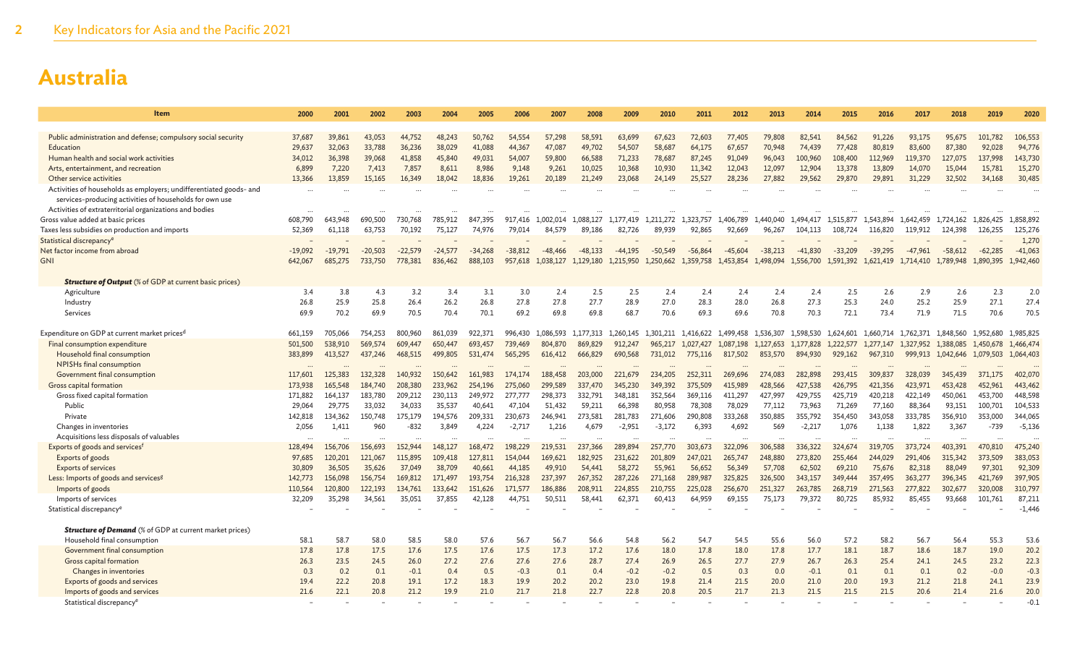| Item                                                                                                                          | 2000              | 2001              | 2002              | 2003              | 2004              | 2005              | 2006              | 2007              | 2008              | 2009                 | 2010              | 2011              | 2012              | 2013              | 2014              | 2015              | 2016              | 2017              | 2018              | 2019               | 2020              |
|-------------------------------------------------------------------------------------------------------------------------------|-------------------|-------------------|-------------------|-------------------|-------------------|-------------------|-------------------|-------------------|-------------------|----------------------|-------------------|-------------------|-------------------|-------------------|-------------------|-------------------|-------------------|-------------------|-------------------|--------------------|-------------------|
|                                                                                                                               |                   |                   |                   |                   |                   |                   |                   |                   |                   |                      |                   |                   |                   |                   |                   |                   |                   |                   |                   |                    |                   |
| Public administration and defense; compulsory social security                                                                 | 37,687            | 39,861            | 43,053            | 44,752            | 48,243            | 50,762            | 54,554            | 57,298            | 58,591            | 63,699               | 67,623            | 72,603            | 77,405            | 79,808            | 82,541            | 84,562            | 91,226            | 93,175            | 95,675            | 101,782            | 106,553           |
| Education                                                                                                                     | 29,637            | 32,063            | 33,788            | 36,236            | 38,029            | 41.088            | 44,367            | 47,087            | 49,702            | 54,507               | 58,687            | 64,175            | 67,657            | 70,948            | 74,439            | 77,428            | 80,819            | 83,600            | 87,380            | 92.028             | 94,776            |
| Human health and social work activities                                                                                       | 34,012            | 36,398            | 39,068            | 41,858            | 45,840            | 49,031            | 54,007            | 59,800            | 66,588            | 71,233               | 78,687            | 87,245            | 91.049            | 96,043            | 100,960           | 108,400           | 112,969           | 119,370           | 127,075           | 137,998            | 143,730           |
| Arts, entertainment, and recreation                                                                                           | 6,899             | 7,220             | 7,413             | 7,857             | 8,611             | 8,986             | 9,148             | 9,261             | 10,025            | 10,368               | 10,930            | 11,342            | 12,043            | 12,097            | 12,904            | 13,378            | 13,809            | 14,070            | 15,044            | 15,781             | 15,270            |
| Other service activities                                                                                                      | 13,366            | 13,859            | 15,165            | 16,349            | 18,042            | 18,836            | 19,261            | 20,189            | 21,249            | 23,068               | 24,149            | 25,527            | 28,236            | 27,882            | 29,562            | 29,870            | 29,891            | 31,229            | 32,502            | 34,168             | 30,485            |
| Activities of households as employers; undifferentiated goods- and<br>services-producing activities of households for own use |                   |                   |                   |                   |                   |                   |                   |                   |                   |                      |                   |                   |                   |                   |                   |                   |                   |                   |                   |                    |                   |
| Activities of extraterritorial organizations and bodies                                                                       |                   |                   |                   |                   |                   |                   |                   |                   |                   |                      |                   |                   |                   |                   |                   |                   |                   |                   |                   |                    |                   |
| Gross value added at basic prices                                                                                             | 608,790           | 643.948           | 690,500           | 730,768           | 785,912           | 847,395           | 917,416           | 1,002,014         | 1,088,127         | 1,177,419            | 1.211.272         | 1,323,757         | 1,406,789         | 1,440,040         | 1,494,417         | 1.515.877         | 1,543,894         | 1,642,459         | 1,724,162         | 1,826,425          | 1,858,892         |
| Taxes less subsidies on production and imports                                                                                | 52,369            | 61,118            | 63,753            | 70,192            | 75,127            | 74,976            | 79,014            | 84.579            | 89,186            | 82,726               | 89,939            | 92,865            | 92,669            | 96,267            | 104,113           | 108,724           | 116,820           | 119,912           | 124,398           | 126,255            | 125,276           |
| Statistical discrepancy <sup>e</sup>                                                                                          |                   |                   |                   |                   |                   |                   |                   |                   |                   |                      |                   |                   |                   |                   |                   |                   |                   |                   |                   |                    | 1,270             |
| Net factor income from abroad                                                                                                 | $-19,092$         | $-19,791$         | $-20.503$         | $-22.579$         | $-24.577$         | $-34,268$         | $-38,812$         | $-48, 466$        | $-48.133$         | $-44.195$            | $-50.549$         | $-56.864$         | $-45.604$         | $-38.213$         | $-41.830$         | $-33.209$         | $-39.295$         | $-47,961$         | $-58.612$         | $-62,285$          | $-41,063$         |
| <b>GNI</b>                                                                                                                    | 642,067           | 685,275           | 733,750           | 778,381           | 836,462           | 888,103           | 957,618           | 1,038,127         | 1,129,180         | 1,215,950            | 1,250,662         | 1,359,758         | 1,453,854         | 1,498,094         | 1,556,700         | 1,591,392         | 1,621,419         | 1,714,410         | 1,789,948         | 1,890,395          | 1,942,460         |
| <b>Structure of Output</b> (% of GDP at current basic prices)                                                                 |                   |                   |                   |                   |                   |                   |                   |                   |                   |                      |                   |                   |                   |                   |                   |                   |                   |                   |                   |                    |                   |
| Agriculture                                                                                                                   | 3.4               | 3.8               | 4.3               | 3.2               | 3.4               | 3.1               | 3.0               | 2.4               | 2.5               | 2.5                  | 2.4               | 2.4               | 2.4               | 2.4               | 2.4               | 2.5               | 2.6               | 2.9               | 2.6               | 2.3                | 2.0               |
| Industry                                                                                                                      | 26.8              | 25.9              | 25.8              | 26.4              | 26.2              | 26.8              | 27.8              | 27.8              | 27.7              | 28.9                 | 27.0              | 28.3              | 28.0              | 26.8              | 27.3              | 25.3              | 24.0              | 25.2              | 25.9              | 27.1               | 27.4              |
| <b>Services</b>                                                                                                               | 69.9              | 70.2              | 69.9              | 70.5              | 70.4              | 70.1              | 69.2              | 69.8              | 69.8              | 68.7                 | 70.6              | 69.3              | 69.6              | 70.8              | 70.3              | 72.1              | 73.4              | 71.9              | 71.5              | 70.6               | 70.5              |
| Expenditure on GDP at current market prices <sup>d</sup>                                                                      | 661,159           | 705,066           | 754,253           | 800,960           | 861,039           | 922.371           | 996,430           | 1.086.593         | 1.177.313         | 1.260.145            | 1.301.211         | 1.416.622         | 1.499.458         | 1.536.307         | 1.598.530         | 1.624.601         | 1.660.714         | 1.762.371         | 1.848.560         | 1.952.680          | 1,985,825         |
| Final consumption expenditure                                                                                                 | 501,500           | 538,910           | 569,574           | 609,447           | 650,447           | 693,457           | 739,469           | 804,870           | 869,829           | 912,247              | 965,217           | 1,027,427         | 1,087,198         | 1,127,653         | 1,177,828         | 1,222,577         | 1,277,147         | 1,327,952         | 1,388,085         | 1,450,678          | 1,466,474         |
| Household final consumption                                                                                                   | 383,899           | 413,527           | 437,246           | 468,515           | 499,805           | 531,474           | 565,295           | 616,412           | 666,829           | 690,568              | 731,012           | 775,116           | 817,502           | 853,570           | 894,930           | 929,162           | 967,310           | 999,913           | 1,042,646         | 1,079,503          | 1,064,403         |
| NPISHs final consumption                                                                                                      |                   |                   |                   |                   |                   |                   |                   |                   |                   |                      |                   |                   |                   |                   |                   |                   |                   |                   |                   |                    |                   |
| Government final consumption                                                                                                  | 117,601           | 125,383           | 132,328           | 140,932           | 150,642           | 161,983           | 174,174           | 188,458           | 203,000           | 221,679              | 234,205           | 252,311           | 269.696           | 274,083           | 282,898           | 293,415           | 309,837           | 328,039           | 345,439           | 371.175            | 402,070           |
| Gross capital formation                                                                                                       | 173,938           | 165,548           | 184,740           | 208,380           | 233,962           | 254,196           | 275,060           | 299,589           | 337,470           | 345,230              | 349,392           | 375,509           | 415,989           | 428,566           | 427,538           | 426,795           | 421,356           | 423,971           | 453,428           | 452,961            | 443,462           |
| Gross fixed capital formation                                                                                                 | 171,882           | 164,137           | 183,780           | 209.212           | 230,113           | 249,972           | 277,777           | 298,373           | 332,791           | 348,181              | 352,564           | 369,116           | 411,297           | 427,997           | 429,755           | 425,719           | 420,218           | 422.149           | 450,061           | 453,700            | 448,598           |
| Public                                                                                                                        | 29,064            | 29,775            | 33.032            | 34.033            | 35,537            | 40.641            | 47.104            | 51,432            | 59,211            | 66,398               | 80,958            | 78,308            | 78,029            | 77,112            | 73,963            | 71,269            | 77,160            | 88,364            | 93,151            | 100,701            | 104,533           |
| Private                                                                                                                       | 142,818           | 134,362           | 150,748           | 175,179           | 194,576           | 209,331           | 230,673           | 246,941           | 273,581           | 281,783              | 271,606           | 290,808           | 333,268           | 350,885           | 355,792           | 354,450           | 343,058           | 333,785           | 356,910           | 353,000            | 344,065           |
| Changes in inventories                                                                                                        | 2,056             | 1,411             | 960               | $-832$            | 3,849             | 4,224             | $-2,717$          | 1,216             | 4,679             | $-2,951$             | $-3,172$          | 6,393             | 4,692             | 569               | $-2,217$          | 1,076             | 1,138             | 1,822             | 3,367             | $-739$             | $-5,136$          |
| Acquisitions less disposals of valuables                                                                                      | $\ddotsc$         |                   | $\cdots$          |                   |                   |                   |                   |                   |                   | $\ddot{\phantom{a}}$ |                   |                   | $\ddotsc$         |                   |                   |                   |                   |                   | $\ddotsc$         |                    |                   |
| Exports of goods and services <sup>f</sup>                                                                                    | 128,494           | 156,706           | 156,693           | 152,944           | 148,127           | 168,472           | 198,229           | 219,531           | 237,366           | 289,894              | 257,770           | 303.673           | 322.096           | 306,588           | 336,322           | 324,674           | 319,705           | 373,724           | 403,391           | 470,810            | 475,240           |
| Exports of goods                                                                                                              | 97,685            | 120,201           | 121,067           | 115,895           | 109,418           | 127,811           | 154,044           | 169,621           | 182,925           | 231,622              | 201,809           | 247,021           | 265,747           | 248,880           | 273,820           | 255,464           | 244,029           | 291,406           | 315,342           | 373,509            | 383,053           |
| <b>Exports of services</b>                                                                                                    | 30,809            | 36,505            | 35,626            | 37,049            | 38,709            | 40,661            | 44,185            | 49,910            | 54,441            | 58,272               | 55,961            | 56,652            | 56,349            | 57,708            | 62,502            | 69,210            | 75,676            | 82,318            | 88,049            | 97,301             | 92,309            |
| Less: Imports of goods and services <sup>g</sup>                                                                              | 142,773           | 156,098           | 156,754           | 169,812           | 171,497           | 193,754           | 216,328           | 237,397           | 267,352           | 287,226              | 271,168           | 289,987           | 325,825           | 326,500           | 343,157           | 349,444           | 357,495           | 363,277           | 396,345           | 421,769            | 397,905           |
| Imports of goods<br>Imports of services                                                                                       | 110,564<br>32,209 | 120,800<br>35,298 | 122.193<br>34,561 | 134,761<br>35,051 | 133,642<br>37,855 | 151,626<br>42,128 | 171,577<br>44.751 | 186,886<br>50,511 | 208,911<br>58,441 | 224,855<br>62,371    | 210,755<br>60,413 | 225,028<br>64,959 | 256,670<br>69,155 | 251,327<br>75,173 | 263,785<br>79,372 | 268,719<br>80,725 | 271,563<br>85,932 | 277,822<br>85,455 | 302,677<br>93,668 | 320,008<br>101,761 | 310,797<br>87,211 |
| Statistical discrepancy <sup>e</sup>                                                                                          |                   |                   |                   |                   |                   |                   |                   |                   |                   |                      |                   |                   |                   |                   |                   |                   |                   |                   |                   |                    | $-1,446$          |
|                                                                                                                               |                   |                   |                   |                   |                   |                   |                   |                   |                   |                      |                   |                   |                   |                   |                   |                   |                   |                   |                   |                    |                   |
| <b>Structure of Demand</b> (% of GDP at current market prices)                                                                |                   |                   |                   |                   |                   |                   |                   |                   |                   |                      |                   |                   |                   |                   |                   |                   |                   |                   |                   |                    |                   |
| Household final consumption                                                                                                   | 58.1              | 58.7              | 58.0              | 58.5              | 58.0              | 57.6              | 56.7              | 56.7              | 56.6              | 54.8                 | 56.2              | 54.7              | 54.5              | 55.6              | 56.0              | 57.2              | 58.2              | 56.7              | 56.4              | 55.3               | 53.6              |
| Government final consumption                                                                                                  | 17.8              | 17.8              | 17.5              | 17.6              | 17.5              | 17.6              | 17.5              | 17.3              | 17.2              | 17.6                 | 18.0              | 17.8              | 18.0              | 17.8              | 17.7              | 18.1              | 18.7              | 18.6              | 18.7              | 19.0               | 20.2              |
| Gross capital formation                                                                                                       | 26.3              | 23.5              | 24.5              | 26.0              | 27.2              | 27.6              | 27.6              | 27.6              | 28.7              | 27.4                 | 26.9              | 26.5              | 27.7              | 27.9              | 26.7              | 26.3              | 25.4              | 24.1              | 24.5              | 23.2               | 22.3              |
| Changes in inventories                                                                                                        | 0.3               | 0.2               | 0.1               | $-0.1$            | 0.4               | 0.5               | $-0.3$            | 0.1               | 0.4               | $-0.2$               | $-0.2$            | 0.5               | 0.3               | 0.0               | $-0.1$            | 0.1               | 0.1               | 0.1               | 0.2               | $-0.0$             | $-0.3$            |
| Exports of goods and services                                                                                                 | 19.4              | 22.2              | 20.8              | 19.1              | 17.2              | 18.3<br>21.0      | 19.9              | 20.2              | 20.2              | 23.0                 | 19.8              | 21.4              | 21.5              | 20.0              | 21.0              | 20.0              | 19.3              | 21.2              | 21.8              | 24.1               | 23.9              |
| Imports of goods and services                                                                                                 | 21.6              | 22.1              | 20.8              | 21.2              | 19.9              |                   | 21.7              | 21.8              | 22.7              | 22.8                 | 20.8              | 20.5              | 21.7              | 21.3              | 21.5              | 21.5              | 21.5              | 20.6              | 21.4              | 21.6               | 20.0<br>$-0.1$    |
| Statistical discrepancy <sup>e</sup>                                                                                          |                   |                   |                   |                   |                   |                   |                   |                   |                   |                      |                   |                   |                   |                   |                   |                   |                   |                   |                   |                    |                   |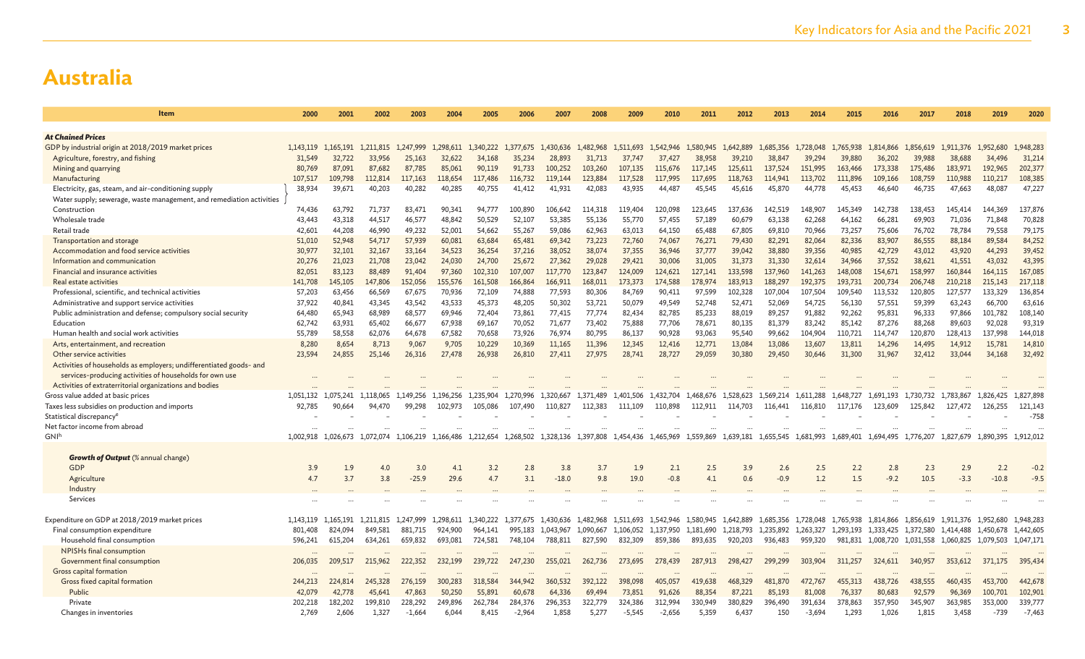| Item                                                                 | 2000             | 2001             | 2002                | 2003             | 2004             | 2005                 | 2006                | 2007           | 2008       | 2009        | 2010                | 2011                 | 2012                | 2013                | 2014                | 2015                | 2016                | 2017                | 2018                                    | 2019              | 2020                |
|----------------------------------------------------------------------|------------------|------------------|---------------------|------------------|------------------|----------------------|---------------------|----------------|------------|-------------|---------------------|----------------------|---------------------|---------------------|---------------------|---------------------|---------------------|---------------------|-----------------------------------------|-------------------|---------------------|
|                                                                      |                  |                  |                     |                  |                  |                      |                     |                |            |             |                     |                      |                     |                     |                     |                     |                     |                     |                                         |                   |                     |
| <b>At Chained Prices</b>                                             |                  |                  |                     |                  |                  | 1.340.222            |                     | 1.430.636      | 1.482,968  | 1.511.693   |                     |                      |                     |                     |                     |                     |                     |                     |                                         | 1.952.680         |                     |
| GDP by industrial origin at 2018/2019 market prices                  | 1.143.119        | 1.165.191        | 1.211.815<br>33,956 | 1.247,999        | 1,298,611        |                      | 1,377,675<br>35,234 | 28,893         | 31,713     | 37,747      | 1.542.946<br>37,427 | 1.580.945            | 1.642.889<br>39,210 | 1.685.356<br>38,847 | 1,728,048<br>39,294 | 1,765,938<br>39,880 | 1.814.866<br>36,202 | 1,856,619<br>39,988 | 1.911.376                               |                   | 1,948,283<br>31,214 |
| Agriculture, forestry, and fishing<br>Mining and quarrying           | 31,549<br>80,769 | 32,722<br>87,091 | 87,682              | 25,163<br>87,785 | 32,622<br>85,061 | 34,168<br>90,119     | 91.733              | 100,252        | 103,260    | 107,135     | 115,676             | 38,958<br>117,145    | 125,611             | 137,524             | 151,995             | 163,466             | 173,338             | 175,486             | 38,688<br>183,971                       | 34,496<br>192,965 | 202,377             |
| Manufacturing                                                        | 107,517          | 109,798          | 112,814             | 117,163          | 118,654          | 117,486              | 116,732             | 119,144        | 123,884    | 117,528     | 117,995             | 117,695              | 118,763             | 114,941             | 113,702             | 111,896             | 109,166             | 108,759             | 110,988                                 | 110,217           | 108,385             |
| Electricity, gas, steam, and air-conditioning supply                 | 38,934           | 39,671           | 40,203              | 40,282           | 40,285           | 40,755               | 41,412              | 41,931         | 42,083     | 43,935      | 44,487              | 45,545               | 45,616              | 45,870              | 44,778              | 45,453              | 46,640              | 46,735              | 47,663                                  | 48,087            | 47,227              |
| Water supply; sewerage, waste management, and remediation activities |                  |                  |                     |                  |                  |                      |                     |                |            |             |                     |                      |                     |                     |                     |                     |                     |                     |                                         |                   |                     |
| Construction                                                         | 74,436           | 63,792           | 71,737              | 83,471           | 90,341           | 94,777               | 100,890             | 106,642        | 114,318    | 119,404     | 120,098             | 123,645              | 137.636             | 142.519             | 148,907             | 145,349             | 142.738             | 138,453             | 145,414                                 | 144.369           | 137,876             |
| Wholesale trade                                                      | 43,443           | 43,318           | 44.517              | 46,577           | 48,842           | 50,529               | 52,107              | 53,385         | 55,136     | 55,770      | 57,455              | 57,189               | 60,679              | 63,138              | 62,268              | 64,162              | 66,281              | 69,903              | 71,036                                  | 71,848            | 70,828              |
| Retail trade                                                         | 42,601           | 44,208           | 46,990              | 49,232           | 52,001           | 54,662               | 55,267              | 59,086         | 62,963     | 63,013      | 64,150              | 65,488               | 67,805              | 69,810              | 70,966              | 73,257              | 75,606              | 76,702              | 78,784                                  | 79,558            | 79,175              |
| Transportation and storage                                           | 51,010           | 52,948           | 54,717              | 57,939           | 60,081           | 63,684               | 65,481              | 69,342         | 73,223     | 72,760      | 74,067              | 76,271               | 79,430              | 82,291              | 82,064              | 82,336              | 83,907              | 86,555              | 88,184                                  | 89,584            | 84,252              |
| Accommodation and food service activities                            | 30,977           | 32,101           | 32,167              | 33,164           | 34,523           | 36,254               | 37.216              | 38,052         | 38,074     | 37,355      | 36,946              | 37,777               | 39,042              | 38,880              | 39,356              | 40,985              | 42,729              | 43,012              | 43,920                                  | 44,293            | 39,452              |
| Information and communication                                        | 20,276           | 21,023           | 21,708              | 23,042           | 24,030           | 24,700               | 25,672              | 27,362         | 29,028     | 29,421      | 30,006              | 31,005               | 31,373              | 31,330              | 32,614              | 34,966              | 37,552              | 38,621              | 41,551                                  | 43,032            | 43,395              |
| Financial and insurance activities                                   | 82,051           | 83,123           | 88,489              | 91,404           | 97,360           | 102,310              | 107,007             | 117,770        | 123,847    | 124,009     | 124,621             | 127,141              | 133,598             | 137,960             | 141,263             | 148,008             | 154,671             | 158,997             | 160,844                                 | 164,115           | 167,085             |
| Real estate activities                                               | 141,708          | 145,105          | 147,806             | 152,056          | 155,576          | 161,508              | 166,864             | 166,911        | 168,011    | 173,373     | 174,588             | 178,974              | 183,913             | 188,297             | 192,375             | 193,731             | 200,734             | 206,748             | 210,218                                 | 215,143           | 217,118             |
| Professional, scientific, and technical activities                   | 57,203           | 63.456           | 66.569              | 67,675           | 70,936           | 72,109               | 74,888              | 77,593         | 80,306     | 84.769      | 90,411              | 97,599               | 102,328             | 107.004             | 107,504             | 109,540             | 113.532             | 120,805             | 127,577                                 | 133,329           | 136,854             |
| Administrative and support service activities                        | 37,922           | 40,841           | 43,345              | 43,542           | 43,533           | 45,373               | 48,205              | 50,302         | 53,721     | 50,079      | 49,549              | 52,748               | 52,471              | 52,069              | 54,725              | 56,130              | 57,551              | 59,399              | 63,243                                  | 66,700            | 63,616              |
| Public administration and defense; compulsory social security        | 64,480           | 65,943           | 68,989              | 68,577           | 69,946           | 72,404               | 73,861              | 77,415         | 77,774     | 82,434      | 82,785              | 85,233               | 88,019              | 89,257              | 91,882              | 92,262              | 95,831              | 96,333              | 97,866                                  | 101,782           | 108,140             |
| Education                                                            | 62,742           | 63,931           | 65,402              | 66,677           | 67,938           | 69,167               | 70,052              | 71,677         | 73,402     | 75,888      | 77,706              | 78,671               | 80,135              | 81,379              | 83,242              | 85,142              | 87,276              | 88,268              | 89,603                                  | 92,028            | 93,319              |
| Human health and social work activities                              | 55,789           | 58.558           | 62,076              | 64,678           | 67,582           | 70,658               | 73.926              | 76,974         | 80.795     | 86,137      | 90,928              | 93,063               | 95,540              | 99,662              | 104.904             | 110,721             | 114,747             | 120,870             | 128,413                                 | 137.998           | 144,018             |
| Arts, entertainment, and recreation                                  | 8,280            | 8,654            | 8,713               | 9,067            | 9,705            | 10,229               | 10,369              | 11,165         | 11,396     | 12,345      | 12,416              | 12,771               | 13,084              | 13,086              | 13,607              | 13,811              | 14,296              | 14,495              | 14,912                                  | 15,781            | 14,810              |
| Other service activities                                             | 23,594           | 24,855           | 25,146              | 26,316           | 27,478           | 26,938               | 26,810              | 27,411         | 27,975     | 28,741      | 28,727              | 29,059               | 30,380              | 29,450              | 30,646              | 31,300              | 31,967              | 32,412              | 33,044                                  | 34,168            | 32,492              |
| Activities of households as employers; undifferentiated goods- and   |                  |                  |                     |                  |                  |                      |                     |                |            |             |                     |                      |                     |                     |                     |                     |                     |                     |                                         |                   |                     |
| services-producing activities of households for own use              |                  |                  |                     |                  |                  |                      |                     |                |            |             |                     |                      |                     |                     |                     |                     |                     |                     |                                         |                   |                     |
| Activities of extraterritorial organizations and bodies              |                  |                  |                     |                  |                  |                      |                     |                |            |             |                     |                      |                     |                     |                     |                     |                     |                     |                                         |                   |                     |
| Gross value added at basic prices                                    | 1.051.132        | 1.075.241        | 1.118.065           | 1.149.256        | 1.196.256        | 1.235.904            | 1,270,996           | 1.320,667      | 1.371.489  | 1.401.506   | 1.432.704           | 1.468.676            | 1.528.623           | 1.569.214           | 1,611,288           | 1.648.727           | 1.691.193           | 1,730,732           | 1.783.867                               | 1,826,425         | 1,827,898           |
| Taxes less subsidies on production and imports                       | 92,785           | 90,664           | 94,470              | 99.298           | 102,973          | 105,086              | 107.490             | 110,827        | 112.383    | 111,109     | 110,898             | 112,911              | 114,703             | 116,441             | 116,810             | 117.176             | 123,609             | 125.842             | 127.472                                 | 126,255           | 121,143             |
| Statistical discrepancy <sup>e</sup>                                 |                  |                  |                     |                  |                  |                      |                     |                |            |             |                     |                      |                     |                     |                     |                     |                     |                     |                                         |                   | $-758$              |
| Net factor income from abroad                                        |                  |                  |                     |                  |                  |                      |                     |                |            |             |                     |                      |                     |                     |                     |                     |                     |                     |                                         |                   |                     |
| GNIh                                                                 | 1.002.918        | 1.026.673        | 1.072.074           | 1,106,219        | 1,166,486        | 1,212,654            | 1,268,502           | 1,328,136      | 1,397,808  | 1,454,436   | 1,465,969           | 1.559.869            | 1,639,181           | 1,655,545           | 1,681,993           | 1,689,401 1,694,495 |                     | 1,776,207           | 1,827,679                               | 1.890.395         | 1.912.012           |
|                                                                      |                  |                  |                     |                  |                  |                      |                     |                |            |             |                     |                      |                     |                     |                     |                     |                     |                     |                                         |                   |                     |
| <b>Growth of Output</b> (% annual change)<br>GDP                     |                  |                  |                     |                  |                  |                      |                     |                |            |             |                     |                      |                     |                     |                     |                     |                     |                     |                                         |                   |                     |
|                                                                      | 3.9              | 1.9              | 4.0                 | 3.0<br>$-25.9$   | 4.1              | 3.2<br>4.7           | 2.8<br>3.1          | 3.8<br>$-18.0$ | 3.7<br>9.8 | 1.9<br>19.0 | 2.1<br>$-0.8$       | 2.5                  | 3.9                 | 2.6                 | 2.5                 | 2.2<br>1.5          | 2.8<br>$-9.2$       | 2.3                 | 2.9<br>$-3.3$                           | 2.2<br>$-10.8$    | $-0.2$<br>$-9.5$    |
| Agriculture<br>Industry                                              | 4.7              | 3.7              | 3.8                 |                  | 29.6             |                      |                     |                |            |             |                     | 4.1                  | 0.6                 | $-0.9$              | 1.2                 |                     |                     | 10.5                |                                         |                   |                     |
| Services                                                             |                  |                  |                     |                  |                  |                      |                     |                |            |             |                     |                      |                     |                     |                     |                     |                     |                     |                                         |                   |                     |
|                                                                      |                  |                  |                     |                  |                  |                      |                     |                |            |             |                     |                      |                     |                     |                     |                     |                     |                     |                                         |                   |                     |
| Expenditure on GDP at 2018/2019 market prices                        | 1.143.119        | 1.165.191        | 1.211.815           | 1.247.999        | 1.298.611        | 1.340.222            | 1.377.675           | 1,430,636      | 1.482.968  | 1.511.693   | 1.542,946           | 1.580.945            | 1.642.889           | 1.685.356           | 1.728.048           | 1,765,938           | 1,814,866           | 1.856.619           | 1.911,376 1,952,680                     |                   | 1.948.283           |
| Final consumption expenditure                                        | 801,408          | 824.094          | 849.581             | 881,715          | 924,900          | 964,141              | 995,183             | 1,043,967      | 1,090,667  | 1,106,052   | 1,137,950           | 1,181,690            | 1,218,793           | 1,235,892           | 1,263,327           | 1,293,193           | 1,333,425           | 1,372,580           | 1.414.488                               | 1.450.678         | 1,442,605           |
| Household final consumption                                          | 596,241          | 615,204          | 634,261             | 659,832          | 693,081          | 724,581              | 748,104             | 788,811        | 827,590    | 832,309     | 859,386             | 893,635              | 920,203             | 936,483             | 959,320             |                     | 981,831 1,008,720   |                     | 1,031,558 1,060,825 1,079,503 1,047,171 |                   |                     |
| NPISHs final consumption                                             | $\cdots$         |                  | $\cdots$            |                  | $\ddotsc$        | $\ddot{\phantom{0}}$ |                     | $\cdots$       |            | $\cdots$    |                     | $\ddot{\phantom{a}}$ | $\cdots$            |                     | $\cdots$            |                     |                     |                     |                                         |                   |                     |
| Government final consumption                                         | 206,035          | 209,517          | 215,962             | 222,352          | 232,199          | 239,722              | 247,230             | 255,021        | 262,736    | 273,695     | 278,439             | 287,913              | 298,427             | 299,299             | 303,904             | 311,257             | 324,611             | 340,957             | 353,612                                 | 371,175           | 395,434             |
| Gross capital formation                                              |                  |                  |                     |                  |                  |                      |                     |                |            |             |                     |                      |                     |                     |                     |                     |                     |                     |                                         |                   |                     |
| Gross fixed capital formation                                        | 244,213          | 224,814          | 245,328             | 276,159          | 300,283          | 318,584              | 344,942             | 360,532        | 392,122    | 398,098     | 405,057             | 419,638              | 468,329             | 481,870             | 472,767             | 455,313             | 438,726             | 438,555             | 460,435                                 | 453,700           | 442,678             |
| Public                                                               | 42,079           | 42,778           | 45,641              | 47,863           | 50,250           | 55,891               | 60,678              | 64,336         | 69,494     | 73,851      | 91.626              | 88,354               | 87,221              | 85,193              | 81,008              | 76,337              | 80,683              | 92,579              | 96,369                                  | 100,701           | 102,901             |
| Private                                                              | 202,218          | 182,202          | 199,810             | 228,292          | 249,896          | 262,784              | 284,376             | 296,353        | 322,779    | 324,386     | 312,994             | 330,949              | 380,829             | 396,490             | 391,634             | 378,863             | 357,950             | 345,907             | 363,985                                 | 353,000           | 339,777             |
| Changes in inventories                                               | 2,769            | 2,606            | 1,327               | $-1,664$         | 6.044            | 8.415                | $-2,964$            | 1,858          | 5.277      | $-5.545$    | $-2,656$            | 5.359                | 6.437               | 150                 | $-3.694$            | 1,293               | 1.026               | 1,815               | 3,458                                   | $-739$            | $-7,463$            |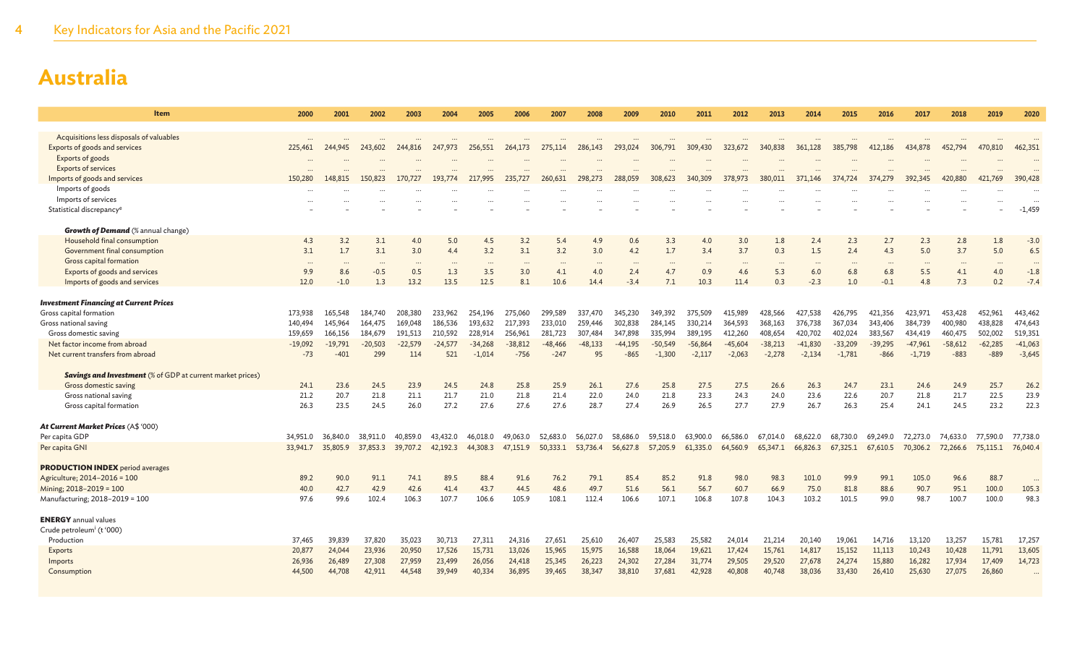| Item                                                              | 2000             | 2001             | 2002             | 2003             | 2004             | 2005             | 2006             | 2007             | 2008             | 2009             | 2010             | 2011             | 2012             | 2013             | 2014             | 2015             | 2016             | 2017             | 2018             | 2019             | 2020             |
|-------------------------------------------------------------------|------------------|------------------|------------------|------------------|------------------|------------------|------------------|------------------|------------------|------------------|------------------|------------------|------------------|------------------|------------------|------------------|------------------|------------------|------------------|------------------|------------------|
|                                                                   |                  |                  |                  |                  |                  |                  |                  |                  |                  |                  |                  |                  |                  |                  |                  |                  |                  |                  |                  |                  |                  |
| Acquisitions less disposals of valuables                          | $\cdots$         |                  |                  |                  |                  |                  |                  |                  |                  |                  |                  |                  |                  |                  |                  |                  |                  |                  |                  |                  |                  |
| Exports of goods and services                                     | 225,461          | 244,945          | 243,602          | 244,816          | 247,973          | 256,551          | 264,173          | 275,114          | 286,143          | 293,024          | 306,791          | 309,430          | 323,672          | 340,838          | 361,128          | 385,798          | 412,186          | 434,878          | 452,794          | 470,810          | 462,351          |
| Exports of goods                                                  |                  |                  |                  |                  |                  |                  |                  |                  |                  |                  |                  |                  |                  |                  |                  |                  |                  |                  |                  |                  |                  |
| <b>Exports of services</b><br>Imports of goods and services       | 150,280          | 148,815          | 150,823          | 170,727          | 193,774          | 217,995          | 235,727          | 260,631          | 298,273          | 288,059          | 308,623          | 340,309          | 378,973          | 380,011          | 371,146          | 374,724          | 37 <sup>°</sup>  | 392,345          | 420,880          | 421,769          | 390,428          |
| Imports of goods                                                  |                  |                  |                  |                  |                  |                  |                  |                  |                  |                  |                  |                  |                  |                  |                  |                  |                  |                  |                  |                  |                  |
| Imports of services                                               |                  |                  |                  |                  |                  |                  |                  |                  |                  |                  |                  |                  |                  |                  |                  |                  |                  |                  |                  |                  |                  |
| Statistical discrepancy <sup>e</sup>                              |                  |                  |                  |                  |                  |                  |                  |                  |                  |                  |                  |                  |                  |                  |                  |                  |                  |                  |                  |                  | $-1,459$         |
|                                                                   |                  |                  |                  |                  |                  |                  |                  |                  |                  |                  |                  |                  |                  |                  |                  |                  |                  |                  |                  |                  |                  |
| <b>Growth of Demand</b> (% annual change)                         |                  |                  |                  |                  |                  |                  |                  |                  |                  |                  |                  |                  |                  |                  |                  |                  |                  |                  |                  |                  |                  |
| Household final consumption                                       | 4.3              | 3.2              | 3.1              | 4.0              | 5.0              | 4.5              | 3.2              | 5.4              | 4.9              | 0.6              | 3.3              | 4.0              | 3.0              | 1.8              | 2.4              | 2.3              | 2.7              | 2.3              | 2.8              | 1.8              | $-3.0$           |
| Government final consumption                                      | 3.1              | 1.7              | 3.1              | 3.0              | 4.4              | 3.2              | 3.1              | 3.2              | 3.0              | 4.2              | 1.7              | 3.4              | 3.7              | 0.3              | 1.5              | 2.4              | 4.3              | 5.0              | 3.7              | 5.0              | 6.5              |
| Gross capital formation                                           | $\cdots$         | $\cdots$         | $\cdots$         | $\cdots$         | $\cdots$         | $\cdots$         | $\cdots$         | $\cdots$         | $\cdots$         | $\cdots$         | $\cdots$         | $\cdots$         | $\cdots$         | $\cdots$         | $\cdots$         | $\sim$           | $\cdots$         | $\cdots$         |                  | $\cdots$         |                  |
| Exports of goods and services                                     | 9.9              | 8.6              | $-0.5$           | 0.5              | 1.3              | 3.5              | 3.0              | 4.1              | 4.0              | 2.4              | 4.7              | 0.9              | 4.6              | 5.3              | 6.0              | 6.8              | 6.8              | 5.5              | 4.1              | 4.0              | $-1.8$           |
| Imports of goods and services                                     | 12.0             | $-1.0$           | 1.3              | 13.2             | 13.5             | 12.5             | 8.1              | 10.6             | 14.4             | $-3.4$           | 7.1              | 10.3             | 11.4             | 0.3              | $-2.3$           | 1.0              | $-0.1$           | 4.8              | 7.3              | 0.2              | $-7.4$           |
| <b>Investment Financing at Current Prices</b>                     |                  |                  |                  |                  |                  |                  |                  |                  |                  |                  |                  |                  |                  |                  |                  |                  |                  |                  |                  |                  |                  |
| Gross capital formation                                           | 173,938          | 165,548          | 184,740          | 208,380          | 233,962          | 254,196          | 275,060          | 299,589          | 337,470          | 345,230          | 349,392          | 375,509          | 415.989          | 428,566          | 427,538          | 426,795          | 421.356          | 423,971          | 453,428          | 452,961          | 443,462          |
| Gross national saving                                             | 140,494          | 145,964          | 164,475          | 169,048          | 186,536          | 193.632          | 217.393          | 233,010          | 259,446          | 302.838          | 284,145          | 330.214          | 364.593          | 368,163          | 376,738          | 367,034          | 343,406          | 384,739          | 400,980          | 438,828          | 474,643          |
| Gross domestic saving                                             | 159,659          | 166,156          | 184,679          | 191,513          | 210,592          | 228,914          | 256,961          | 281,723          | 307,484          | 347,898          | 335,994          | 389,195          | 412,260          | 408,654          | 420,702          | 402,024          | 383,567          | 434,419          | 460,475          | 502,002          | 519,351          |
| Net factor income from abroad                                     | $-19,092$        | $-19,791$        | $-20,503$        | $-22,579$        | $-24,577$        | $-34,268$        | $-38,812$        | $-48, 466$       | $-48,133$        | $-44.195$        | $-50,549$        | $-56,864$        | $-45,604$        | $-38,213$        | $-41,830$        | $-33,209$        | $-39,295$        | $-47,961$        | $-58,612$        | $-62,285$        | $-41,063$        |
| Net current transfers from abroad                                 | $-73$            | $-401$           | 299              | 114              | 521              | $-1.014$         | $-756$           | $-247$           | 95               | $-865$           | $-1.300$         | $-2,117$         | $-2.063$         | $-2,278$         | $-2,134$         | $-1.781$         | $-866$           | $-1.719$         | $-883$           | $-889$           | $-3,645$         |
|                                                                   |                  |                  |                  |                  |                  |                  |                  |                  |                  |                  |                  |                  |                  |                  |                  |                  |                  |                  |                  |                  |                  |
| <b>Savings and Investment</b> (% of GDP at current market prices) |                  |                  |                  |                  |                  |                  |                  |                  |                  |                  |                  |                  |                  |                  |                  |                  |                  |                  |                  |                  |                  |
| Gross domestic saving                                             | 24.1             | 23.6             | 24.5             | 23.9             | 24.5             | 24.8             | 25.8             | 25.9             | 26.1             | 27.6             | 25.8             | 27.5             | 27.5             | 26.6             | 26.3             | 24.7             | 23.1             | 24.6             | 24.9             | 25.7             | 26.2             |
| Gross national saving                                             | 21.2             | 20.7             | 21.8             | 21.1             | 21.7             | 21.0             | 21.8             | 21.4             | 22.0             | 24.0             | 21.8             | 23.3             | 24.3             | 24.0             | 23.6             | 22.6             | 20.7             | 21.8             | 21.7             | 22.5             | 23.9             |
| Gross capital formation                                           | 26.3             | 23.5             | 24.5             | 26.0             | 27.2             | 27.6             | 27.6             | 27.6             | 28.7             | 27.4             | 26.9             | 26.5             | 27.7             | 27.9             | 26.7             | 26.3             | 25.4             | 24.1             | 24.5             | 23.2             | 22.3             |
| At Current Market Prices (A\$ '000)                               |                  |                  |                  |                  |                  |                  |                  |                  |                  |                  |                  |                  |                  |                  |                  |                  |                  |                  |                  |                  |                  |
| Per capita GDP                                                    | 34,951.0         | 36,840.0         | 38,911.0         | 40,859.0         | 43,432.0         | 46,018.0         | 49,063.0         | 52,683.0         | 56,027.0         | 58,686.0         | 59.518.0         | 63,900.0         | 66,586.0         | 67,014.0         | 68,622.0         | 68,730.0         | 69.249.0         | 72.273.0         | 74,633.0         | 77,590.0         | 77,738.0         |
| Per capita GNI                                                    | 33,941.7         | 35,805.9         | 37,853.3         | 39,707.2         | 42,192.3         | 44,308.3         | 47,151.9         | 50,333.1         | 53,736.4         | 56,627.8         | 57,205.9         | 61,335.0         | 64,560.9         | 65,347.1         | 66,826.3         | 67,325.1         | 67,610.5         | 70,306.2         | 72,266.6         | 75,115.1         | 76,040.4         |
|                                                                   |                  |                  |                  |                  |                  |                  |                  |                  |                  |                  |                  |                  |                  |                  |                  |                  |                  |                  |                  |                  |                  |
| <b>PRODUCTION INDEX</b> period averages                           |                  |                  |                  |                  |                  |                  |                  |                  |                  |                  |                  |                  |                  |                  |                  |                  |                  |                  |                  |                  |                  |
| Agriculture; 2014-2016 = 100                                      | 89.2             | 90.0             | 91.1             | 74.1             | 89.5             | 88.4             | 91.6             | 76.2             | 79.1             | 85.4             | 85.2             | 91.8             | 98.0             | 98.3             | 101.0            | 99.9             | 99.1             | 105.0            | 96.6             | 88.7             |                  |
| Mining: 2018-2019 = 100                                           | 40.0             | 42.7             | 42.9             | 42.6             | 41.4             | 43.7             | 44.5             | 48.6             | 49.7             | 51.6             | 56.1             | 56.7             | 60.7             | 66.9             | 75.0             | 81.8             | 88.6             | 90.7             | 95.1             | 100.0            | 105.3            |
| Manufacturing; 2018-2019 = 100                                    | 97.6             | 99.6             | 102.4            | 106.3            | 107.7            | 106.6            | 105.9            | 108.1            | 112.4            | 106.6            | 107.1            | 106.8            | 107.8            | 104.3            | 103.2            | 101.5            | 99.0             | 98.7             | 100.7            | 100.0            | 98.3             |
|                                                                   |                  |                  |                  |                  |                  |                  |                  |                  |                  |                  |                  |                  |                  |                  |                  |                  |                  |                  |                  |                  |                  |
| <b>ENERGY</b> annual values                                       |                  |                  |                  |                  |                  |                  |                  |                  |                  |                  |                  |                  |                  |                  |                  |                  |                  |                  |                  |                  |                  |
| Crude petroleum <sup>i</sup> (t '000)                             |                  |                  |                  |                  |                  |                  |                  |                  |                  |                  |                  |                  |                  |                  |                  |                  |                  |                  |                  |                  |                  |
| Production                                                        | 37,465           | 39,839           | 37,820           | 35,023           | 30,713           | 27,311           | 24,316           | 27,651           | 25,610           | 26,407           | 25,583           | 25,582           | 24,014           | 21,214           | 20,140           | 19,061           | 14,716           | 13,120           | 13,257           | 15,781           | 17,257<br>13,605 |
| <b>Exports</b><br>Imports                                         | 20,877<br>26,936 | 24,044<br>26,489 | 23,936<br>27,308 | 20,950<br>27,959 | 17,526<br>23,499 | 15,731<br>26,056 | 13,026<br>24,418 | 15,965<br>25,345 | 15,975<br>26,223 | 16,588<br>24,302 | 18,064<br>27,284 | 19,621<br>31,774 | 17,424<br>29,505 | 15,761<br>29,520 | 14,817<br>27,678 | 15,152<br>24,274 | 11,113<br>15,880 | 10,243<br>16,282 | 10,428<br>17,934 | 11,791<br>17,409 | 14,723           |
|                                                                   | 44,500           | 44,708           | 42,911           | 44,548           | 39,949           | 40,334           | 36,895           |                  | 38,347           | 38,810           | 37,681           | 42,928           | 40,808           | 40,748           |                  | 33,430           |                  |                  | 27,075           | 26,860           |                  |
| Consumption                                                       |                  |                  |                  |                  |                  |                  |                  | 39,465           |                  |                  |                  |                  |                  |                  | 38,036           |                  | 26,410           | 25,630           |                  |                  |                  |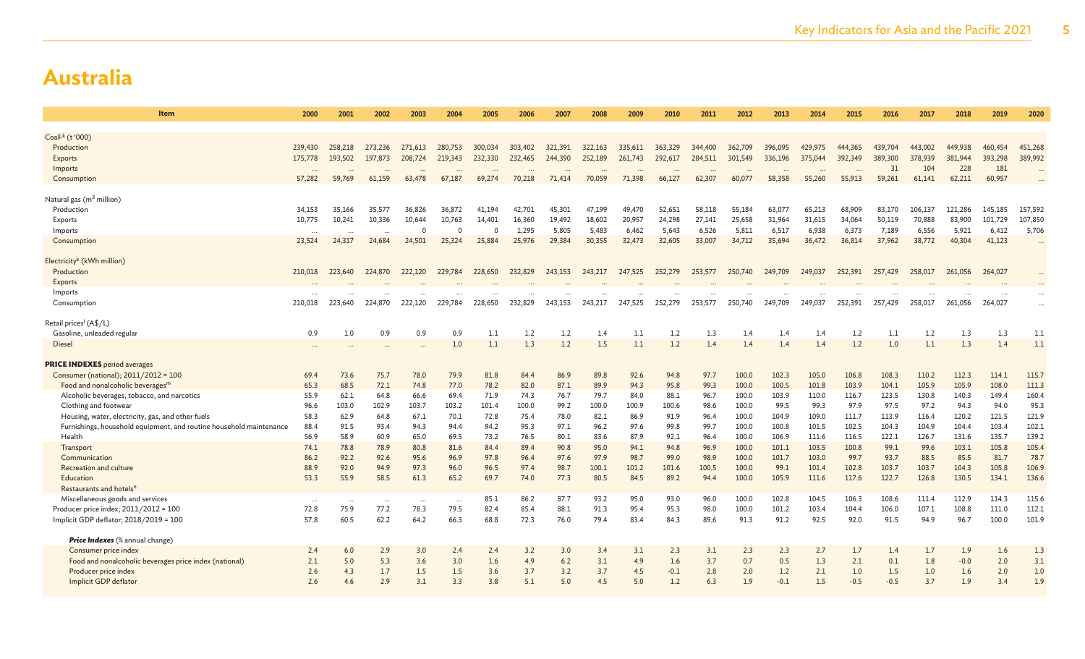| Item                                                                | 2000             | 2001             | 2002             | 2003             | 2004         | 2005         | 2006         | 2007         | 2008          | 2009          | 2010          | 2011          | 2012           | 2013          | 2014           | 2015           | 2016           | 2017           | 2018           | 2019           | 2020           |
|---------------------------------------------------------------------|------------------|------------------|------------------|------------------|--------------|--------------|--------------|--------------|---------------|---------------|---------------|---------------|----------------|---------------|----------------|----------------|----------------|----------------|----------------|----------------|----------------|
| Coal <sup>j,k</sup> (t '000)                                        |                  |                  |                  |                  |              |              |              |              |               |               |               |               |                |               |                |                |                |                |                |                |                |
| Production                                                          | 239,430          | 258,218          | 273,236          | 271,613          | 280,753      | 300,034      | 303,402      | 321,391      | 322,163       | 335,611       | 363,329       | 344,400       | 362,709        | 396,095       | 429,975        | 444,365        | 439,704        | 443,002        | 449,938        | 460,454        | 451,268        |
| Exports                                                             | 175,778          | 193,502          | 197,873          | 208,724          | 219,343      | 232,330      | 232,465      | 244,390      | 252,189       | 261,743       | 292,617       | 284,511       | 301,549        | 336,196       | 375,044        | 392,349        | 389,300        | 378,939        | 381,944        | 393,298        | 389,992        |
| Imports                                                             |                  |                  |                  |                  |              |              |              |              |               |               |               |               |                |               |                |                | 31             | 104            | 228            | 181            |                |
| Consumption                                                         | 57,282           | 59,769           | 61,159           | 63,478           | 67,187       | 69,274       | 70,218       | 71,414       | 70,059        | 71,398        | 66,127        | 62,307        | 60,077         | 58,358        | 55,260         | 55,913         | 59,261         | 61,141         | 62,211         | 60,957         |                |
|                                                                     |                  |                  |                  |                  |              |              |              |              |               |               |               |               |                |               |                |                |                |                |                |                |                |
| Natural gas (m <sup>3</sup> million)                                |                  |                  |                  |                  |              |              |              |              |               |               |               |               |                |               |                |                |                |                |                |                |                |
| Production                                                          | 34,153           | 35,166           | 35,577           | 36,826           | 36,872       | 41,194       | 42,701       | 45,301       | 47,199        | 49,470        | 52,651        | 58,118        | 55,184         | 63,077        | 65,213         | 68,909         | 83,170         | 106,137        | 121,286        | 145,185        | 157,592        |
| Exports                                                             | 10,775           | 10,241           | 10,336           | 10,644           | 10,763       | 14,401       | 16,360       | 19,492       | 18,602        | 20,957        | 24,298        | 27,141        | 25,658         | 31,964        | 31,615         | 34,064         | 50,119         | 70,888         | 83,900         | 101,729        | 107,850        |
| Imports                                                             | $\cdots$         | $\cdots$         |                  | $\Omega$         | $\Omega$     | $\Omega$     | 1,295        | 5,805        | 5,483         | 6,462         | 5,643         | 6,526         | 5,811          | 6,517         | 6,938          | 6,373          | 7,189          | 6,556          | 5,921          | 6,412          | 5,706          |
| Consumption                                                         | 23,524           | 24,317           | 24,684           | 24,501           | 25,324       | 25,884       | 25,976       | 29,384       | 30,355        | 32,473        | 32,605        | 33,007        | 34,712         | 35,694        | 36,472         | 36,814         | 37,962         | 38,772         | 40,304         | 41,123         |                |
| Electricity <sup>k</sup> (kWh million)                              |                  |                  |                  |                  |              |              |              |              |               |               |               |               |                |               |                |                |                |                |                |                |                |
| Production                                                          | 210,018          | 223,640          | 224,870          | 222,120          | 229,784      | 228,650      | 232,829      | 243,153      | 243,217       | 247,525       | 252,279       | 253,577       | 250,740        | 249,709       | 249,037        | 252,391        | 257,429        | 258,017        | 261,056        | 264,027        |                |
| Exports                                                             |                  |                  |                  |                  |              |              |              |              |               |               |               |               |                |               |                |                |                |                |                |                |                |
| Imports                                                             |                  |                  |                  |                  |              |              |              |              |               |               |               |               |                |               |                |                |                |                |                |                | $\cdots$       |
| Consumption                                                         | 210,018          | 223,640          | 224,870          | 222,120          | 229,784      | 228,650      | 232,829      | 243,153      | 243,217       | 247,525       | 252,279       | 253,577       | 250,740        | 249,709       | 249,037        | 252,391        | 257,429        | 258,017        | 261,056        | 264,027        |                |
|                                                                     |                  |                  |                  |                  |              |              |              |              |               |               |               |               |                |               |                |                |                |                |                |                |                |
| Retail prices <sup>1</sup> (A\$/L)                                  |                  |                  |                  |                  |              |              |              |              |               |               |               |               |                |               |                |                |                |                |                |                |                |
| Gasoline, unleaded regular                                          | 0.9              | 1.0              | 0.9              | 0.9              | 0.9          | 1.1          | 1.2          | 1.2<br>1.2   | 1.4           | 1.1           | 1.2           | 1.3           | 1.4            | 1.4           | 1.4            | 1.2            | 1.1            | 1.2            | 1.3            | 1.3            | 1.1<br>1.1     |
| Diesel                                                              |                  |                  |                  |                  | 1.0          | 1.1          | 1.3          |              | 1.5           | 1.1           | 1.2           | 1.4           | 1.4            | 1.4           | 1.4            | 1.2            | 1.0            | 1.1            | 1.3            | 1.4            |                |
| <b>PRICE INDEXES</b> period averages                                |                  |                  |                  |                  |              |              |              |              |               |               |               |               |                |               |                |                |                |                |                |                |                |
| Consumer (national); 2011/2012 = 100                                | 69.4             | 73.6             | 75.7             | 78.0             | 79.9         | 81.8         | 84.4         | 86.9         | 89.8          | 92.6          | 94.8          | 97.7          | 100.0          | 102.3         | 105.0          | 106.8          | 108.3          | 110.2          | 112.3          | 114.1          | 115.7          |
| Food and nonalcoholic beverages <sup>m</sup>                        | 65.3             | 68.5             | 72.1             | 74.8             | 77.0         | 78.2         | 82.0         | 87.1         | 89.9          | 94.3          | 95.8          | 99.3          | 100.0          | 100.5         | 101.8          | 103.9          | 104.1          | 105.9          | 105.9          | 108.0          | 111.3          |
| Alcoholic beverages, tobacco, and narcotics                         | 55.9             | 62.1             | 64.8             | 66.6             | 69.4         | 71.9         | 74.3         | 76.7         | 79.7          | 84.0          | 88.1          | 96.7          | 100.0          | 103.9         | 110.0          | 116.7          | 123.5          | 130.8          | 140.3          | 149.4          | 160.4          |
| Clothing and footwear                                               | 96.6             | 103.0            | 102.9            | 103.7            | 103.2        | 101.4        | 100.0        | 99.2         | 100.0         | 100.9         | 100.6         | 98.6          | 100.0          | 99.5          | 99.3           | 97.9           | 97.5           | 97.2           | 94.3           | 94.0           | 95.3           |
| Housing, water, electricity, gas, and other fuels                   | 58.3             | 62.9             | 64.8             | 67.1             | 70.1         | 72.8         | 75.4         | 78.0         | 82.1          | 86.9          | 91.9          | 96.4          | 100.0          | 104.9         | 109.0          | 111.7          | 113.9          | 116.4          | 120.2          | 121.5          | 121.9          |
| Furnishings, household equipment, and routine household maintenance | 88.4             | 91.5             | 93.4             | 94.3             | 94.4         | 94.2         | 95.3         | 97.1         | 96.2          | 97.6          | 99.8          | 99.7          | 100.0          | 100.8         | 101.5          | 102.5          | 104.3          | 104.9          | 104.4          | 103.4          | 102.1          |
| Health                                                              | 56.9             | 58.9             | 60.9             | 65.0             | 69.5         | 73.2         | 76.5         | 80.1         | 83.6          | 87.9          | 92.1          | 96.4          | 100.0          | 106.9         | 111.6          | 116.5          | 122.1          | 126.7          | 131.6          | 135.7          | 139.2          |
| Transport                                                           | 74.1             | 78.8             | 78.9             | 80.8             | 81.6         | 84.4         | 89.4         | 90.8         | 95.0          | 94.1          | 94.8          | 96.9          | 100.0          | 101.1         | 103.5          | 100.8          | 99.1           | 99.6           | 103.1          | 105.8          | 105.4          |
| Communication                                                       | 86.2             | 92.2             | 92.6             | 95.6             | 96.9         | 97.8         | 96.4         | 97.6         | 97.9          | 98.7          | 99.0          | 98.9          | 100.0          | 101.7         | 103.0          | 99.7           | 93.7           | 88.5           | 85.5           | 81.7           | 78.7           |
| Recreation and culture<br>Education                                 | 88.9<br>53.3     | 92.0<br>55.9     | 94.9<br>58.5     | 97.3<br>61.3     | 96.0<br>65.2 | 96.5<br>69.7 | 97.4<br>74.0 | 98.7<br>77.3 | 100.1<br>80.5 | 101.2<br>84.5 | 101.6<br>89.2 | 100.5<br>94.4 | 100.0<br>100.0 | 99.1<br>105.9 | 101.4<br>111.6 | 102.8<br>117.6 | 103.7<br>122.7 | 103.7<br>126.8 | 104.3<br>130.5 | 105.8<br>134.1 | 106.9<br>136.6 |
| Restaurants and hotels <sup>n</sup>                                 |                  |                  |                  |                  |              |              |              |              |               |               |               |               |                |               |                |                |                |                |                |                |                |
| Miscellaneous goods and services                                    |                  |                  |                  |                  |              | 85.1         | 86.2         | 87.7         | 93.2          | 95.0          | 93.0          | 96.0          | 100.0          | 102.8         | 104.5          | 106.3          | 108.6          | 111.4          | 112.9          | 114.3          | 115.6          |
| Producer price index; 2011/2012 = 100                               | $\cdots$<br>72.8 | $\cdots$<br>75.9 | $\cdots$<br>77.2 | $\cdots$<br>78.3 | <br>79.5     | 82.4         | 85.4         | 88.1         | 91.3          | 95.4          | 95.3          | 98.0          | 100.0          | 101.2         | 103.4          | 104.4          | 106.0          | 107.1          | 108.8          | 111.0          | 112.1          |
| Implicit GDP deflator; 2018/2019 = 100                              | 57.8             | 60.5             | 62.2             | 64.2             | 66.3         | 68.8         | 72.3         | 76.0         | 79.4          | 83.4          | 84.3          | 89.6          | 91.3           | 91.2          | 92.5           | 92.0           | 91.5           | 94.9           | 96.7           | 100.0          | 101.9          |
|                                                                     |                  |                  |                  |                  |              |              |              |              |               |               |               |               |                |               |                |                |                |                |                |                |                |
| <b>Price Indexes</b> (% annual change)                              |                  |                  |                  |                  |              |              |              |              |               |               |               |               |                |               |                |                |                |                |                |                |                |
| Consumer price index                                                | 2.4              | 6.0              | 2.9              | 3.0              | 2.4          | 2.4          | 3.2          | 3.0          | 3.4           | 3.1           | 2.3           | 3.1           | 2.3            | 2.3           | 2.7            | 1.7            | 1.4            | 1.7            | 1.9            | 1.6            | 1.3            |
| Food and nonalcoholic beverages price index (national)              | 2.1              | 5.0              | 5.3              | 3.6              | 3.0          | 1.6          | 4.9          | 6.2          | 3.1           | 4.9           | 1.6           | 3.7           | 0.7            | 0.5           | 1.3            | 2.1            | 0.1            | 1.8            | $-0.0$         | 2.0            | 3.1            |
| Producer price index                                                | 2.6              | 4.3              | 1.7              | 1.5              | 1.5          | 3.6          | 3.7          | 3.2          | 3.7           | 4.5           | $-0.1$        | 2.8           | 2.0            | 1.2           | 2.1            | 1.0            | 1.5            | 1.0            | 1.6            | 2.0            | 1.0            |
| Implicit GDP deflator                                               | 2.6              | 4.6              | 2.9              | 3.1              | 3.3          | 3.8          | 5.1          | 5.0          | 4.5           | 5.0           | 1.2           | 6.3           | 1.9            | $-0.1$        | 1.5            | $-0.5$         | $-0.5$         | 3.7            | 1.9            | 3.4            | 1.9            |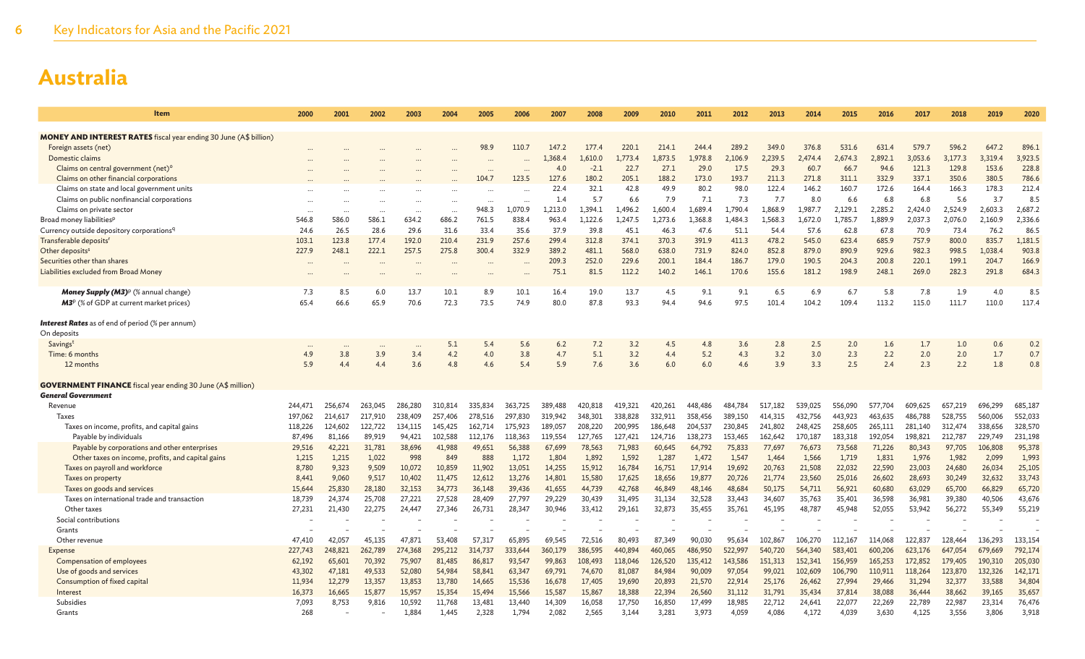| Item                                                                        | 2000             | 2001             | 2002                     | 2003             | 2004             | 2005             | 2006             | 2007             | 2008             | 2009             | 2010             | 2011             | 2012             | 2013             | 2014             | 2015             | 2016             | 2017             | 2018             | 2019             | 2020             |
|-----------------------------------------------------------------------------|------------------|------------------|--------------------------|------------------|------------------|------------------|------------------|------------------|------------------|------------------|------------------|------------------|------------------|------------------|------------------|------------------|------------------|------------------|------------------|------------------|------------------|
| <b>MONEY AND INTEREST RATES</b> fiscal year ending 30 June (A\$ billion)    |                  |                  |                          |                  |                  |                  |                  |                  |                  |                  |                  |                  |                  |                  |                  |                  |                  |                  |                  |                  |                  |
| Foreign assets (net)                                                        |                  |                  |                          |                  |                  | 98.9             | 110.7            | 147.2            | 177.4            | 220.1            | 214.             | 244.4            | 289.2            | 349.0            | 376.8            | 531.6            | 631.4            | 579.             | 596.2            | 647.2            | 896.1            |
| Domestic claims                                                             |                  |                  |                          |                  |                  |                  |                  | 1.368.4          | 1.610.0          | L.773.4          | 1.873.5          | 1.978.8          | 2.106.9          | 2.239.5          | 2.474.4          | 2.674.3          | 2.892.1          | 3.053.6          | 3.177.3          | 3.319.4          | 3,923.5          |
| Claims on central government (net) <sup>o</sup>                             |                  |                  |                          |                  |                  |                  |                  | 4.0              | $-2.1$           | 22.7             | 27.1             | 29.0             | 17.5             | 29.3             | 60.7             | 66.7             | 94.6             | 121.3            | 129.8            | 153.6            | 228.8            |
| Claims on other financial corporations                                      |                  |                  |                          |                  |                  | 104.7            | 123.5            | 127.6            | 180.2            | 205.1            | 188.2            | 173.0            | 193.7            | 211.3            | 271.8            | 311.1            | 332.9            | 337.1            | 350.6            | 380.5            | 786.6            |
| Claims on state and local government units                                  |                  |                  |                          |                  |                  |                  |                  | 22.4             | 32.1             | 42.8             | 49.9             | 80.2             | 98.0             | 122.4            | 146.2            | 160.7            | 172.6            | 164.4            | 166.3            | 178.3            | 212.4            |
| Claims on public nonfinancial corporations                                  |                  |                  |                          |                  | $\cdots$         |                  |                  | 1.4              | 5.7              | 6.6              | 7.9              | 7.1              | 7.3              | 7.7              | 8.0              | 6.6              | 6.8              | 6.8              | 5.6              | 3.7              | 8.5              |
| Claims on private sector                                                    |                  | $\ddotsc$        | $\overline{\phantom{a}}$ |                  | $\ddotsc$        | 948.3            | 1.070.9          | 1.213.0          | 1.394.1          | 1.496.2          | 1.600.4          | 1,689.4          | 1.790.4          | 1.868.9          | 1.987.7          | 2,129.1          | 2.285.2          | 2.424.0          | 2,524.9          | 2,603.3          | 2,687.2          |
| Broad money liabilities <sup>p</sup>                                        | 546.8            | 586.0            | 586.1                    | 634.2            | 686.2            | 761.5            | 838.4            | 963.4            | 1,122.6          | 1,247.5          | 1,273.6          | 1,368.8          | 1,484.3          | 1,568.3          | 1,672.0          | 1,785.7          | 1,889.9          | 2,037.3          | 2,076.0          | 2,160.9          | 2,336.6          |
| Currency outside depository corporations <sup>q</sup>                       | 24.6             | 26.5             | 28.6                     | 29.6             | 31.6             | 33.4             | 35.6             | 37.9             | 39.8             | 45.1             | 46.3             | 47.6             | 51.1             | 54.4             | 57.6             | 62.8             | 67.8             | 70.9             | 73.4             | 76.2             | 86.5             |
| Transferable deposits <sup>r</sup>                                          | 103.1            | 123.8            | 177.4                    | 192.0            | 210.4            | 231.9            | 257.6            | 299.4            | 312.8            | 374.1            | 370.3            | 391.9            | 411.3            | 478.2            | 545.0            | 623.4            | 685.9            | 757.9            | 800.0            | 835.7            | 1.181.5          |
| Other deposits <sup>s</sup>                                                 | 227.9            | 248.1            | 222.1                    | 257.5            | 275.8            | 300.4            | 332.9            | 389.2            | 481.1            | 568.0            | 638.0            | 731.9            | 824.0            | 852.8            | 879.0            | 890.9            | 929.6            | 982.3            | 998.5            | 1,038.4          | 903.8            |
| Securities other than shares                                                |                  |                  |                          |                  |                  |                  |                  | 209.3            | 252.0            | 229.6            | 200.1            | 184.4            | 186.7            | 179.0            | 190.5            | 204.3            | 200.8            | 220.1            | 199.1            | 204.7            | 166.9            |
| Liabilities excluded from Broad Money                                       |                  | $\ddotsc$        | $\overline{\phantom{a}}$ |                  | $\ddotsc$        |                  | $\ddotsc$        | 75.1             | 81.5             | 112.2            | 140.2            | 146.1            | 170.6            | 155.6            | 181.2            | 198.9            | 248.1            | 269.0            | 282.3            | 291.8            | 684.3            |
| Money Supply (M3) <sup>p</sup> (% annual change)                            | 7.3              | 8.5              | 6.0                      | 13.7             | 10.1             | 8.9              | 10.1             | 16.4             | 19.0             | 13.7             | 4.5              | 9.1              | 9.1              | 6.5              | 6.9              | 6.7              | 5.8              | 7.8              | 1.9              | 4.0              | 8.5              |
| M3 <sup>p</sup> (% of GDP at current market prices)                         | 65.4             | 66.6             | 65.9                     | 70.6             | 72.3             | 73.5             | 74.9             | 80.0             | 87.8             | 93.3             | 94.4             | 94.6             | 97.5             | 101.4            | 104.2            | 109.4            | 113.2            | 115.0            | 111.7            | 110.0            | 117.4            |
|                                                                             |                  |                  |                          |                  |                  |                  |                  |                  |                  |                  |                  |                  |                  |                  |                  |                  |                  |                  |                  |                  |                  |
| <b>Interest Rates</b> as of end of period (% per annum)                     |                  |                  |                          |                  |                  |                  |                  |                  |                  |                  |                  |                  |                  |                  |                  |                  |                  |                  |                  |                  |                  |
| On deposits                                                                 |                  |                  |                          |                  |                  |                  |                  |                  |                  |                  |                  |                  |                  |                  |                  |                  |                  |                  |                  |                  |                  |
| Savingst                                                                    |                  |                  |                          |                  | 5.1              | 5.4              | 5.6              | 6.2              | 7.2              | 3.2              | 4.5              | 4.8              | 3.6              | 2.8              | 2.5              | 2.0              | 1.6              | 1.7              | 1.0              | 0.6              | 0.2              |
| Time: 6 months                                                              | 4.9              | 3.8              | 3.9                      | 3.4              | 4.2              | 4.0              | 3.8              | 4.7              | 5.1              | 3.2              | 4.4              | 5.2              | 4.3              | 3.2              | 3.0              | 2.3              | 2.2              | 2.0              | 2.0              | 1.7              | 0.7              |
| 12 months                                                                   | 5.9              | 4.4              | 4.4                      | 3.6              | 4.8              | 4.6              | 5.4              | 5.9              | 7.6              | 3.6              | 6.0              | 6.0              | 4.6              | 3.9              | 3.3              | 2.5              | 2.4              | 2.3              | 2.2              | 1.8              | 0.8              |
| <b>GOVERNMENT FINANCE</b> fiscal year ending 30 June (A\$ million)          |                  |                  |                          |                  |                  |                  |                  |                  |                  |                  |                  |                  |                  |                  |                  |                  |                  |                  |                  |                  |                  |
| <b>General Government</b>                                                   |                  |                  |                          |                  |                  |                  |                  |                  |                  |                  |                  |                  |                  |                  |                  |                  |                  |                  |                  |                  |                  |
| Revenue                                                                     | 244,471          | 256,674          | 263,045                  | 286,280          | 310,814          | 335,834          | 363,725          | 389,488          | 420,818          | 419.321          | 420,261          | 448,486          | 484,784          | 517,182          | 539,025          | 556,090          | 577.704          | 609,625          | 657,219          | 696,299          | 685,187          |
| Taxes                                                                       | 197,062          | 214,617          | 217,910                  | 238,409          | 257,406          | 278,516          | 297,830          | 319,942          | 348,301          | 338,828          | 332,911          | 358,456          | 389,150          | 414,315          | 432,756          | 443,923          | 463,635          | 486,788          | 528,755          | 560,006          | 552,033          |
| Taxes on income, profits, and capital gains                                 | 118,226          | 124,602          | 122,722                  | 134,115          | 145,425          | 162,714          | 175,923          | 189,057          | 208,220          | 200,995          | 186,648          | 204,537          | 230,845          | 241,802          | 248,425          | 258,605          | 265,111          | 281,140          | 312,474          | 338,656          | 328,570          |
| Payable by individuals                                                      | 87,496           | 81,166           | 89,919                   | 94,421           | 102,588          | 112.176          | 118,363          | 119,554          | 127,765          | 127,421          | 124,716          | 138,273          | 153,465          | 162,642          | 170,187          | 183,318          | 192,054          | 198,821          | 212,787          | 229,749          | 231,198          |
| Payable by corporations and other enterprises                               | 29,516           | 42,221           | 31,781                   | 38,696           | 41,988           | 49,651           | 56,388           | 67,699           | 78,563           | 71,983           | 60,645           | 64,792           | 75,833           | 77,697           | 76,673           | 73,568           | 71,226           | 80,343           | 97,705           | 106,808          | 95,378           |
| Other taxes on income, profits, and capital gains                           | 1,215            | 1,215            | 1,022                    | 998              | 849              | 888              | 1,172            | 1,804            | 1,892            | 1,592            | 1,287            | 1,472            | 1,547            | 1,464            | 1,566            | 1,719            | 1,831            | 1,976            | 1,982            | 2,099            | 1,993            |
| Taxes on payroll and workforce                                              | 8.780            | 9,323            | 9,509                    | 10.072           | 10,859           | 11,902           | 13,051           | 14,255           | 15,912           | 16,784           | 16,751           | 17,914           | 19,692           | 20,763           | 21,508           | 22,032           | 22,590           | 23,003           | 24,680           | 26,034           | 25,105           |
| Taxes on property                                                           | 8,441            | 9,060            | 9.517                    | 10,402           | 11,475           | 12.612           | 13,276           | 14,801           | 15,580           | 17.625           | 18,656           | 19,877           | 20,726           | 21,774           | 23,560           | 25,016           | 26,602           | 28,693           | 30,249           | 32,632           | 33,743           |
| Taxes on goods and services<br>Taxes on international trade and transaction | 15,644<br>18.739 | 25,830<br>24.374 | 28,180                   | 32,153<br>27.221 | 34,773<br>27,528 | 36,148<br>28,409 | 39,436<br>27.797 | 41,655           | 44,739<br>30,439 | 42,768<br>31.495 | 46,849<br>31.134 | 48,146<br>32.528 | 48,684<br>33,443 | 50,175<br>34,607 | 54,711<br>35.763 | 56,921           | 60,680<br>36,598 | 63,029<br>36,981 | 65,700<br>39,380 | 66,829<br>40,506 | 65,720<br>43,676 |
| Other taxes                                                                 | 27,231           | 21,430           | 25,708<br>22,275         | 24,447           | 27,346           | 26,731           | 28,347           | 29,229<br>30,946 | 33,412           | 29,161           | 32,873           | 35,455           | 35,761           | 45,195           | 48,787           | 35,401<br>45,948 | 52,055           | 53,942           | 56,272           | 55,349           | 55,219           |
| Social contributions                                                        |                  |                  |                          |                  |                  |                  |                  |                  |                  |                  |                  |                  |                  |                  |                  |                  |                  |                  |                  |                  |                  |
| Grants                                                                      |                  |                  |                          |                  |                  |                  |                  |                  |                  |                  |                  |                  |                  |                  |                  |                  |                  |                  |                  |                  |                  |
| Other revenue                                                               | 47,410           | 42,057           | 45.135                   | 47,871           | 53,408           | 57,317           | 65,895           | 69.545           | 72,516           | 80,493           | 87,349           | 90,030           | 95.634           | 102,867          | 106,270          | 112,167          | 114,068          | 122,837          | 128,464          | 136,293          | 133,154          |
| <b>Expense</b>                                                              | 227,743          | 248,821          | 262,789                  | 274,368          | 295,212          | 314,737          | 333,644          | 360,179          | 386,595          | 440,894          | 460,065          | 486,950          | 522,997          | 540,720          | 564,340          | 583,401          | 600,206          | 623,176          | 647,054          | 679,669          | 792,174          |
| Compensation of employees                                                   | 62,192           | 65,601           | 70,392                   | 75,907           | 81,485           | 86,817           | 93,547           | 99,863           | 108,493          | 118,046          | 126,520          | 135,412          | 143,586          | 151,313          | 152,341          | 156,959          | 165,253          | 172,852          | 179,405          | 190,310          | 205,030          |
| Use of goods and services                                                   | 43,302           | 47,181           | 49,533                   | 52,080           | 54,984           | 58,841           | 63,347           | 69,791           | 74,670           | 81,087           | 84,984           | 90,009           | 97,054           | 99,021           | 102,609          | 106,790          | 110,911          | 118,264          | 123,870          | 132,326          | 142,171          |
| Consumption of fixed capital                                                | 11.934           | 12,279           | 13,357                   | 13,853           | 13,780           | 14,665           | 15,536           | 16,678           | 17,405           | 19,690           | 20,893           | 21,570           | 22,914           | 25,176           | 26,462           | 27,994           | 29,466           | 31,294           | 32,377           | 33,588           | 34,804           |
| Interest                                                                    | 16,373           | 16,665           | 15,877                   | 15,957           | 15,354           | 15,494           | 15,566           | 15,587           | 15,867           | 18,388           | 22,394           | 26,560           | 31,112           | 31,791           | 35,434           | 37,814           | 38,088           | 36,444           | 38,662           | 39,165           | 35,657           |
| Subsidies                                                                   | 7,093            | 8,753            | 9,816                    | 10,592           | 11,768           | 13,481           | 13,440           | 14,309           | 16,058           | 17,750           | 16,850           | 17,499           | 18,985           | 22,712           | 24,641           | 22,077           | 22,269           | 22,789           | 22,987           | 23,314           | 76,476           |
| Grants                                                                      | 268              |                  |                          | 1,884            | 1,445            | 2,328            | 1,794            | 2,082            | 2,565            | 3,144            | 3,281            | 3,973            | 4,059            | 4,086            | 4,172            | 4,039            | 3,630            | 4,125            | 3,556            | 3,806            | 3,918            |
|                                                                             |                  |                  |                          |                  |                  |                  |                  |                  |                  |                  |                  |                  |                  |                  |                  |                  |                  |                  |                  |                  |                  |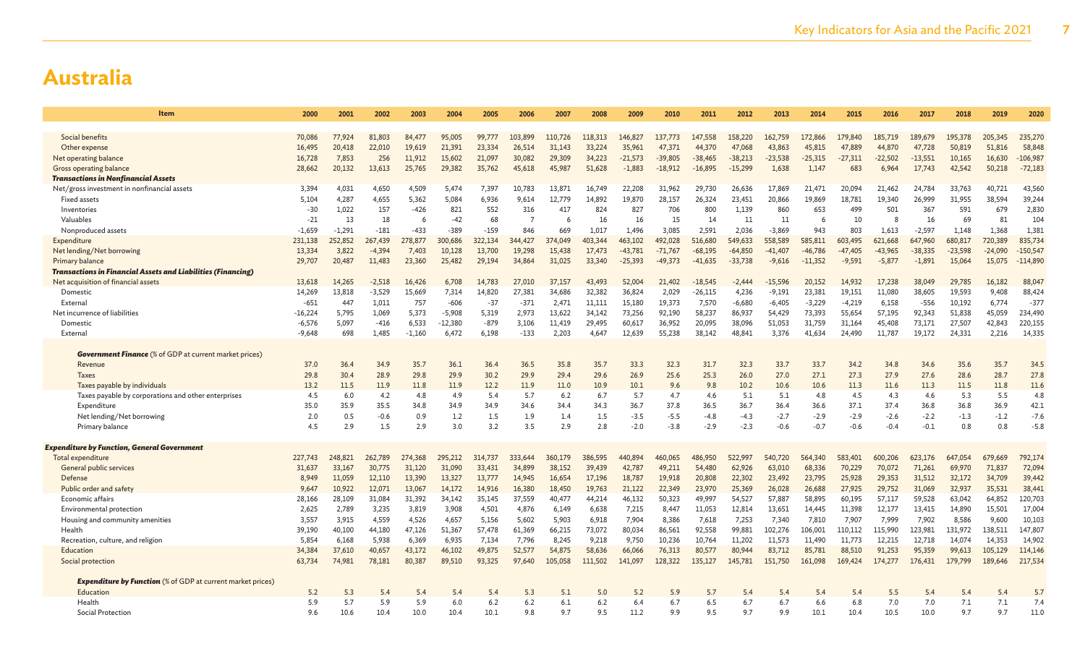| Item                                                                | 2000      | 2001            | 2002     | 2003            | 2004            | 2005            | 2006            | 2007            | 2008            | 2009                   | 2010            | 2011            | 2012             | 2013             | 2014             | 2015             | 2016              | 2017             | 2018             | 2019             | 2020                     |
|---------------------------------------------------------------------|-----------|-----------------|----------|-----------------|-----------------|-----------------|-----------------|-----------------|-----------------|------------------------|-----------------|-----------------|------------------|------------------|------------------|------------------|-------------------|------------------|------------------|------------------|--------------------------|
|                                                                     |           |                 |          |                 |                 |                 |                 |                 |                 |                        |                 |                 |                  |                  |                  |                  |                   |                  |                  |                  |                          |
| Social benefits                                                     | 70.086    | 77,924          | 81,803   | 84,477          | 95,005          | 99,777          | 103.899         | 110,726         | 118,313         | 146,827                | 137,773         | 147.558         | 158,220          | 162.759          | 172,866          | 179,840          | 185,719           | 189.679          | 195,378          | 205.345          | 235,270                  |
| Other expense                                                       | 16,495    | 20,418          | 22,010   | 19,619          | 21,391          | 23.334          | 26,514          | 31,143          | 33,224          | 35,961                 | 47,371          | 44,370          | 47,068           | 43,863           | 45,815           | 47,889           | 44,870            | 47,728           | 50,819           | 51,816           | 58,848                   |
| Net operating balance                                               | 16,728    | 7,853           | 256      | 11,912          | 15,602          | 21,097          | 30,082          | 29,309          | 34,223          | $-21,573$              | $-39,805$       | $-38,465$       | $-38,213$        | $-23,538$        | $-25,315$        | $-27,311$        | $-22,502$         | $-13,551$        | 10,165           | 16,630           | $-106,987$               |
| Gross operating balance                                             | 28,662    | 20,132          | 13,613   | 25,765          | 29,382          | 35,762          | 45,618          | 45,987          | 51,628          | $-1,883$               | $-18,912$       | $-16,895$       | $-15,299$        | 1,638            | 1,147            | 683              | 6,964             | 17,743           | 42,542           | 50,218           | $-72,183$                |
| <b>Transactions in Nonfinancial Assets</b>                          |           |                 |          |                 |                 |                 |                 |                 |                 |                        |                 |                 |                  |                  |                  |                  |                   |                  |                  |                  |                          |
| Net/gross investment in nonfinancial assets                         | 3.394     | 4,031           | 4.650    | 4.509           | 5,474           | 7.397           | 10.783          | 13,871          | 16.749          | 22,208                 | 31,962          | 29.730          | 26,636           | 17.869           | 21,471           | 20.094           | 21,462            | 24,784           | 33,763           | 40.721           | 43,560                   |
| <b>Fixed assets</b>                                                 | 5,104     | 4,287           | 4,655    | 5,362           | 5,084           | 6,936           | 9,614           | 12,779          | 14,892          | 19,870                 | 28,157          | 26,324          | 23,451           | 20,866           | 19,869           | 18,781           | 19,340            | 26,999           | 31,955           | 38,594           | 39,244                   |
| Inventories                                                         | $-30$     | 1,022           | 157      | $-426$          | 821             | 552             | 316             | 417             | 824             | 827                    | 706             | 800             | 1,139            | 860              | 653              | 499              | 501               | 367              | 591              | 679              | 2,830                    |
| Valuables                                                           | $-21$     | 13              | 18       | -6              | $-42$           | 68              |                 |                 | 16              | 16                     | 15              | 14              | 11               | 11               | -6               | 10               | 8                 | 16               | 69               | 81               | 104                      |
| Nonproduced assets                                                  | $-1.659$  | $-1,291$        | $-181$   | $-433$          | $-389$          | $-159$          | 846             | 669             | 1.017           | 1.496                  | 3.085           | 2.591           | 2.036            | $-3.869$         | 943              | 803              | 1.613             | $-2.597$         | 1,148            | 1,368            | 1,381                    |
| Expenditure                                                         | 231,138   | 252,852         | 267,439  | 278,877         | 300,686         | 322,134         | 344,427         | 374,049         | 403,344         | 463,102                | 492,028         | 516,680         | 549,633          | 558,589          | 585,811          | 603,495          | 621,668           | 647,960          | 680,817          | 720,389          | 835,734                  |
| Net lending/Net borrowing<br>Primary balance                        | 13,334    | 3,822           | $-4,394$ | 7,403           | 10,128          | 13,700          | 19,298          | 15,438          | 17,473          | $-43,781$<br>$-25.393$ | $-71,767$       | $-68,195$       | $-64,850$        | $-41,407$        | $-46,786$        | $-47,405$        | $-43,965$         | $-38,335$        | $-23,598$        | $-24,090$        | $-150,547$<br>$-114,890$ |
| <b>Transactions in Financial Assets and Liabilities (Financing)</b> | 29,707    | 20,487          | 11,483   | 23,360          | 25,482          | 29,194          | 34,864          | 31,025          | 33,340          |                        | $-49,373$       | $-41,635$       | $-33,738$        | $-9,616$         | $-11,352$        | $-9,591$         | $-5,877$          | $-1,891$         | 15,064           | 15,075           |                          |
| Net acquisition of financial assets                                 | 13,618    | 14,265          | $-2,518$ | 16,426          | 6,708           | 14,783          | 27,010          | 37,157          | 43,493          | 52,004                 | 21,402          | $-18,545$       | $-2,444$         | $-15.596$        | 20,152           | 14,932           | 17,238            | 38,049           | 29,785           | 16,182           | 88,047                   |
| Domestic                                                            | 14,269    | 13,818          | $-3,529$ | 15,669          | 7,314           | 14,820          | 27,381          | 34,686          | 32,382          | 36,824                 | 2,029           | $-26,115$       | 4,236            | $-9,191$         | 23,381           | 19,151           | 11.080            | 38,605           | 19,593           | 9,408            | 88,424                   |
| External                                                            | $-651$    | 447             | 1,011    | 757             | $-606$          | $-37$           | $-371$          | 2,471           | 11,111          | 15,180                 | 19,373          | 7,570           | $-6,680$         | $-6,405$         | $-3,229$         | $-4,219$         | 6,158             | $-556$           | 10,192           | 6,774            | $-377$                   |
| Net incurrence of liabilities                                       | $-16,224$ | 5,795           | 1,069    | 5,373           | $-5,908$        | 5,319           | 2,973           | 13,622          | 34,142          | 73,256                 | 92,190          | 58,237          | 86,937           | 54,429           | 73,393           | 55,654           | 57,195            | 92,343           | 51,838           | 45,059           | 234,490                  |
| Domestic                                                            | $-6,576$  | 5,097           | $-416$   | 6,533           | $-12,380$       | $-879$          | 3,106           | 11,419          | 29,495          | 60,617                 | 36,952          | 20,095          | 38,096           | 51,053           | 31,759           | 31,164           | 45,408            | 73,171           | 27,507           | 42,843           | 220,155                  |
| Externa                                                             | $-9.648$  | 698             | 1.485    | $-1,160$        | 6,472           | 6.198           | $-133$          | 2.203           | 4.647           | 12.639                 | 55,238          | 38,142          | 48.841           | 3,376            | 41,634           | 24,490           | 11,787            | 19,172           | 24,331           | 2,216            | 14,335                   |
|                                                                     |           |                 |          |                 |                 |                 |                 |                 |                 |                        |                 |                 |                  |                  |                  |                  |                   |                  |                  |                  |                          |
| <b>Government Finance</b> (% of GDP at current market prices)       |           |                 |          |                 |                 |                 |                 |                 |                 |                        |                 |                 |                  |                  |                  |                  |                   |                  |                  |                  |                          |
| Revenue                                                             | 37.0      | 36.4            | 34.9     | 35.7            | 36.1            | 36.4            | 36.5            | 35.8            | 35.7            | 33.3                   | 32.3            | 31.7            | 32.3             | 33.7             | 33.7             | 34.2             | 34.8              | 34.6             | 35.6             | 35.7             | 34.5                     |
| <b>Taxes</b>                                                        | 29.8      | 30.4            | 28.9     | 29.8            | 29.9            | 30.2            | 29.9            | 29.4            | 29.6            | 26.9                   | 25.6            | 25.3            | 26.0             | 27.0             | 27.1             | 27.3             | 27.9              | 27.6             | 28.6             | 28.7             | 27.8                     |
| Taxes payable by individuals                                        | 13.2      | 11.5            | 11.9     | 11.8            | 11.9            | 12.2            | 11.9            | 11.0            | 10.9            | 10.1                   | 9.6             | 9.8             | 10.2             | 10.6             | 10.6             | 11.3             | 11.6              | 11.3             | 11.5             | 11.8             | 11.6                     |
| Taxes payable by corporations and other enterprises                 | 4.5       | 6.0             | 4.2      | 4.8             | 4.9             | 5.4             | 5.7             | 6.2             | 6.7             | 5.7                    | 4.7             | 4.6             | 5.1              | 5.1              | 4.8              | 4.5              | 4.3               | 4.6              | 5.3              | 5.5              | 4.8                      |
| Expenditure                                                         | 35.0      | 35.9            | 35.5     | 34.8            | 34.9            | 34.9            | 34.6            | 34.4            | 34.3            | 36.7                   | 37.8            | 36.5            | 36.7             | 36.4             | 36.6             | 37.1             | 37.4              | 36.8             | 36.8             | 36.9             | 42.1                     |
| Net lending/Net borrowing                                           | 2.0       | 0.5             | $-0.6$   | 0.9             | 1.2             | 1.5             | 1.9             | 1.4             | 1.5             | $-3.5$                 | $-5.5$          | $-4.8$          | $-4.3$           | $-2.7$           | $-2.9$           | $-2.9$           | $-2.6$            | $-2.2$           | $-1.3$           | $-1.2$           | $-7.6$                   |
| Primary balance                                                     | 4.5       | 2.9             | 1.5      | 2.9             | 3.0             | 3.2             | 3.5             | 2.9             | 2.8             | $-2.0$                 | $-3.8$          | $-2.9$          | $-2.3$           | $-0.6$           | $-0.7$           | $-0.6$           | $-0.4$            | $-0.1$           | 0.8              | 0.8              | $-5.8$                   |
|                                                                     |           |                 |          |                 |                 |                 |                 |                 |                 |                        |                 |                 |                  |                  |                  |                  |                   |                  |                  |                  |                          |
| <b>Expenditure by Function, General Government</b>                  |           |                 |          |                 |                 |                 |                 |                 |                 |                        |                 |                 |                  |                  |                  |                  |                   |                  |                  |                  |                          |
| Total expenditure                                                   | 227,743   | 248,821         | 262,789  | 274,368         | 295,212         | 314,737         | 333,644         | 360,179         | 386,595         | 440,894                | 460,065         | 486,950         | 522,997          | 540,720          | 564,340          | 583,401          | 600,206           | 623,176          | 647,054          | 679,669          | 792,174                  |
| General public services                                             | 31,637    | 33,167          | 30,775   | 31,120          | 31.090          | 33.431          | 34,899          | 38,152          | 39,439          | 42,787                 | 49,211          | 54,480          | 62.926           | 63,010           | 68,336           | 70,229           | 70,072            | 71,261           | 69,970           | 71,837           | 72,094                   |
| Defense                                                             | 8,949     | 11,059          | 12,110   | 13,390          | 13,327          | 13,777          | 14,945          | 16,654          | 17,196          | 18,787                 | 19,918          | 20,808          | 22,302           | 23,492           | 23,795           | 25,928           | 29,353            | 31,512           | 32,172           | 34,709           | 39,442                   |
| Public order and safety                                             | 9,647     | 10,922          | 12.071   | 13,067          | 14,172          | 14,916          | 16,380          | 18,450          | 19,763          | 21,122                 | 22,349          | 23,970          | 25,369           | 26,028           | 26,688           | 27,925           | 29,752            | 31,069           | 32,937           | 35,531           | 38,441                   |
| Economic affairs                                                    | 28,166    | 28,109          | 31,084   | 31,392          | 34,142          | 35,145          | 37,559          | 40,477          | 44,214          | 46,132                 | 50,323          | 49,997          | 54,527           | 57,887           | 58,895           | 60,195           | 57,117            | 59,528           | 63,042           | 64,852           | 120,703                  |
| Environmental protection                                            | 2,625     | 2,789           | 3,235    | 3,819           | 3,908           | 4.501           | 4,876           | 6,149           | 6,638           | 7,215                  | 8,447           | 11,053          | 12,814           | 13,651           | 14,445           | 11,398           | 12,177            | 13,415           | 14,890           | 15.501           | 17,004                   |
| Housing and community amenities<br>Health                           | 3,557     | 3,915           | 4,559    | 4,526<br>47,126 | 4,657<br>51,367 | 5,156<br>57,478 | 5,602           | 5,903           | 6,918           | 7,904                  | 8,386<br>86,561 | 7,618<br>92,558 | 7,253            | 7,340<br>102,276 | 7,810<br>106,001 | 7,907<br>110,112 | 7,999             | 7,902<br>123,981 | 8,586<br>131,972 | 9,600<br>138,511 | 10,103<br>147,807        |
|                                                                     | 39,190    | 40,100<br>6,168 | 44,180   |                 | 6,935           | 7,134           | 61,369          | 66,215<br>8,245 | 73,072<br>9,218 | 80,034                 |                 | 10,764          | 99,881<br>11,202 | 11,573           | 11,490           | 11,773           | 115,990<br>12,215 | 12,718           | 14,074           | 14,353           | 14,902                   |
| Recreation, culture, and religion<br>Education                      | 5,854     |                 | 5,938    | 6,369<br>43,172 |                 | 49,875          | 7,796<br>52,577 |                 | 58,636          | 9,750<br>66,066        | 10,236          |                 | 80,944           | 83,712           | 85,781           | 88,510           | 91,253            | 95.359           | 99.613           | 105,129          |                          |
|                                                                     | 34,384    | 37,610          | 40,657   |                 | 46,102          |                 |                 | 54,875          |                 |                        | 76,313          | 80,577          |                  |                  |                  |                  |                   |                  |                  |                  | 114,146                  |
| Social protection                                                   | 63,734    | 74,981          | 78,181   | 80,387          | 89,510          | 93,325          | 97,640          | 105,058         | 111,502         | 141,097                | 128,322         | 135,127         | 145,781          | 151,750          | 161,098          | 169,424          | 174,277           | 176,431          | 179,799          | 189,646          | 217,534                  |
| <b>Expenditure by Function</b> (% of GDP at current market prices)  |           |                 |          |                 |                 |                 |                 |                 |                 |                        |                 |                 |                  |                  |                  |                  |                   |                  |                  |                  |                          |
| Education                                                           | 5.2       | 5.3             | 5.4      | 5.4             | 5.4             | 5.4             | 5.3             | 5.1             | 5.0             | 5.2                    | 5.9             | 5.7             | 5.4              | 5.4              | 5.4              | 5.4              | 5.5               | 5.4              | 5.4              | 5.4              | 5.7                      |
| Health                                                              | 5.9       | 5.7             | 5.9      | 5.9             | 6.0             | 6.2             | 6.2             | 6.1             | 6.2             | 6.4                    | 6.7             | 6.5             | 6.7              | 6.7              | 6.6              | 6.8              | 7.0               | 7.0              | 7.1              | 7.1              | 7.4                      |
| Social Protection                                                   | 9.6       | 10.6            | 10.4     | 10.0            | 10.4            | 10.1            | 9.8             | 9.7             | 9.5             | 11.2                   | 9.9             | 9.5             | 9.7              | 9.9              | 10.1             | 10.4             | 10.5              | 10.0             | 9.7              | 9.7              | 11.0                     |
|                                                                     |           |                 |          |                 |                 |                 |                 |                 |                 |                        |                 |                 |                  |                  |                  |                  |                   |                  |                  |                  |                          |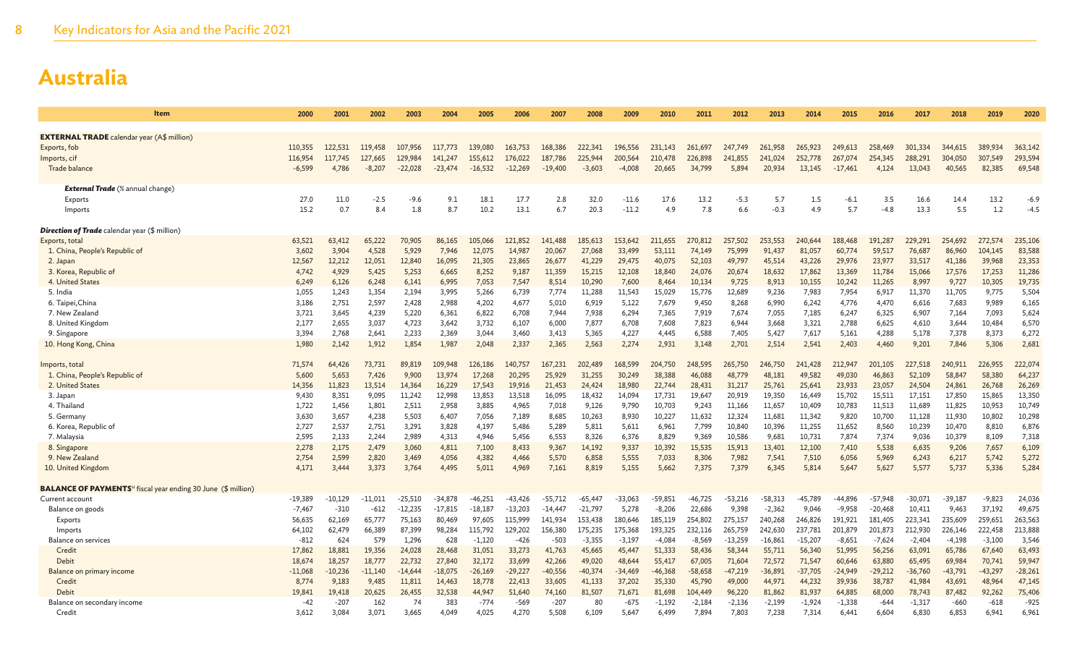| Item                                                                            | 2000      | 2001      | 2002      | 2003      | 2004                 | 2005      | 2006      | 2007       | 2008      | 2009      | 2010        | 2011      | 2012      | 2013      | 2014      | 2015        | 2016      | 2017         | 2018      | 2019      | 2020             |
|---------------------------------------------------------------------------------|-----------|-----------|-----------|-----------|----------------------|-----------|-----------|------------|-----------|-----------|-------------|-----------|-----------|-----------|-----------|-------------|-----------|--------------|-----------|-----------|------------------|
|                                                                                 |           |           |           |           |                      |           |           |            |           |           |             |           |           |           |           |             |           |              |           |           |                  |
| <b>EXTERNAL TRADE</b> calendar year (A\$ million)                               |           |           |           |           |                      |           |           |            |           |           |             |           |           |           |           |             |           |              |           |           |                  |
| Exports, fob                                                                    | 110.355   | 122.531   | 119,458   | 107,956   | 117,773              | 139,080   | 163,753   | 168,386    | 222,341   | 196,556   | 231,143     | 261,697   | 247,749   | 261,958   | 265,923   | 249,613     | 258,469   | 301.334      | 344,615   | 389,934   | 363,142          |
| Imports, cif                                                                    | 116,954   | 117,745   | 127,665   | 129,984   | 141,247              | 155,612   | 176,022   | 187,786    | 225,944   | 200,564   | 210,478     | 226,898   | 241,855   | 241,024   | 252,778   | 267,074     | 254,345   | 288,291      | 304,050   | 307,549   | 293,594          |
| Trade balance                                                                   | $-6,599$  | 4,786     | $-8,207$  | $-22,028$ | $-23,474$            | $-16,532$ | $-12,269$ | $-19,400$  | $-3,603$  | $-4,008$  | 20,665      | 34,799    | 5,894     | 20,934    | 13,145    | $-17,461$   | 4,124     | 13,043       | 40,565    | 82,385    | 69,548           |
|                                                                                 |           |           |           |           |                      |           |           |            |           |           |             |           |           |           |           |             |           |              |           |           |                  |
| <b>External Trade</b> (% annual change)<br>Exports                              | 27.0      | 11.0      | $-2.5$    | $-9.6$    | 9.1                  | 18.1      | 17.7      |            | 32.0      | $-11.6$   |             | 13.2      | $-5.3$    | 5.7       | 1.5       |             | 3.5       |              | 14.4      | 13.2      | $-6.9$           |
| Imports                                                                         | 15.2      | 0.7       | 8.4       | 1.8       | 8.7                  | 10.2      | 13.1      | 2.8<br>6.7 | 20.3      | $-11.2$   | 17.6<br>4.9 | 7.8       | 6.6       | $-0.3$    | 4.9       | -6.1<br>5.7 | $-4.8$    | 16.6<br>13.3 | 5.5       | 1.2       | $-4.5$           |
|                                                                                 |           |           |           |           |                      |           |           |            |           |           |             |           |           |           |           |             |           |              |           |           |                  |
| <b>Direction of Trade</b> calendar year (\$ million)                            |           |           |           |           |                      |           |           |            |           |           |             |           |           |           |           |             |           |              |           |           |                  |
| Exports, total                                                                  | 63,521    | 63,412    | 65.222    | 70,905    | 86,165               | 105,066   | 121.852   | 141,488    | 185,613   | 153,642   | 211,655     | 270,812   | 257,502   | 253.553   | 240,644   | 188,468     | 191,287   | 229,291      | 254,692   | 272.57    | 235,106          |
| 1. China, People's Republic of                                                  | 3,602     | 3,904     | 4,528     | 5,929     | 7,946                | 12,075    | 14,987    | 20,067     | 27,068    | 33,499    | 53,111      | 74,149    | 75,999    | 91,437    | 81,057    | 60,774      | 59,517    | 76,687       | 86,960    | 104,145   | 83,588           |
| 2. Japan                                                                        | 12,567    | 12,212    | 12,051    | 12,840    | 16,095               | 21,305    | 23,865    | 26,677     | 41,229    | 29,475    | 40,075      | 52,103    | 49,797    | 45,514    | 43,226    | 29,976      | 23,977    | 33,517       | 41,186    | 39,968    | 23,353           |
| 3. Korea, Republic of                                                           | 4,742     | 4,929     | 5,425     | 5,253     | 6,665                | 8,252     | 9,187     | 11,359     | 15,215    | 12,108    | 18,840      | 24,076    | 20,674    | 18,632    | 17,862    | 13,369      | 11,784    | 15,066       | 17,576    | 17,253    | 11,286           |
| 4. United States                                                                | 6,249     | 6,126     | 6,248     | 6,141     | 6,995                | 7,053     | 7,547     | 8,514      | 10,290    | 7,600     | 8,464       | 10,134    | 9,725     | 8,913     | 10,155    | 10,242      | 11,265    | 8,997        | 9,727     | 10,305    | 19,735           |
| 5. India                                                                        | 1,055     | 1,243     | 1,354     | 2,194     | 3,995                | 5,266     | 6,739     | 7,774      | 11,288    | 11,543    | 15,029      | 15,776    | 12,689    | 9,236     | 7,983     | 7,954       | 6,917     | 11,370       | 11,705    | 9,775     | 5,504            |
| 6. Taipei, China                                                                | 3.186     | 2,751     | 2,597     | 2,428     | 2,988                | 4,202     | 4,677     | 5,010      | 6,919     | 5,122     | 7,679       | 9,450     | 8,268     | 6,990     | 6,242     | 4,776       | 4,470     | 6,616        | 7,683     | 9,989     | 6,165            |
| 7. New Zealand                                                                  | 3,721     | 3,645     | 4,239     | 5,220     | 6,361                | 6,822     | 6,708     | 7,944      | 7,938     | 6,294     | 7,365       | 7,919     | 7,674     | 7,055     | 7,185     | 6,247       | 6,325     | 6,907        | 7,164     | 7,093     | 5,624            |
| 8. United Kingdom                                                               | 2,177     | 2,655     | 3,037     | 4,723     | 3,642                | 3,732     | 6,107     | 6,000      | 7,877     | 6,708     | 7,608       | 7,823     | 6,944     | 3,668     | 3,321     | 2,788       | 6,625     | 4,610        | 3,644     | 10,484    | 6,570            |
| 9. Singapore                                                                    | 3,394     | 2,768     | 2,641     | 2,233     | 2,369                | 3,044     | 3,460     | 3,413      | 5,365     | 4,227     | 4,445       | 6,588     | 7,405     | 5,427     | 7,617     | 5,161       | 4,288     | 5,178        | 7,378     | 8,373     | 6,272            |
| 10. Hong Kong, China                                                            | 1,980     | 2,142     | 1,912     | 1,854     | 1,987                | 2,048     | 2,337     | 2,365      | 2,563     | 2,274     | 2,931       | 3,148     | 2,701     | 2,514     | 2,541     | 2,403       | 4,460     | 9,201        | 7,846     | 5,306     | 2,681            |
| Imports, total                                                                  | 71,574    | 64,426    | 73,731    | 89,819    | 109,948              | 126,186   | 140,757   | 167,231    | 202,489   | 168,599   | 204,750     | 248,595   | 265,750   | 246,750   | 241,428   | 212,947     | 201,105   | 227,518      | 240,911   | 226,955   | 222,074          |
| 1. China, People's Republic of                                                  | 5,600     | 5,653     | 7,426     | 9,900     | 13,974               | 17,268    | 20,295    | 25,929     | 31,255    | 30,249    | 38,388      | 46,088    | 48,779    | 48,181    | 49,582    | 49,030      | 46,863    | 52,109       | 58,847    | 58,380    | 64,237           |
| 2. United States                                                                | 14,356    | 11,823    | 13,514    | 14,364    | 16,229               | 17,543    | 19,916    | 21,453     | 24,424    | 18,980    | 22,744      | 28,431    | 31,217    | 25,761    | 25,641    | 23,933      | 23,057    | 24,504       | 24,861    | 26,768    | 26,269           |
| 3. Japan                                                                        | 9,430     | 8,351     | 9,095     | 11,242    | 12,998               | 13,853    | 13,518    | 16,095     | 18,432    | 14,094    | 17,731      | 19,647    | 20,919    | 19,350    | 16,449    | 15,702      | 15,511    | 17,151       | 17,850    | 15,865    | 13,350           |
| 4. Thailand                                                                     | 1,722     | 1,456     | 1,801     | 2,511     | 2,958                | 3,885     | 4,965     | 7,018      | 9,126     | 9,790     | 10,703      | 9,243     | 11,166    | 11,657    | 10,409    | 10,783      | 11,513    | 11,689       | 11,825    | 10,953    | 10,749           |
| 5. Germany                                                                      | 3.630     | 3,657     | 4,238     | 5,503     | 6,407                | 7.056     | 7,189     | 8.685      | 10.263    | 8,930     | 10.227      | 11.632    | 12,324    | 11,681    | 11.342    | 9,820       | 10.700    | 11.128       | 11,930    | 10,802    | 10,298           |
| 6. Korea, Republic of                                                           | 2,727     | 2,537     | 2,751     | 3,291     | 3,828                | 4,197     | 5,486     | 5,289      | 5,811     | 5,611     | 6,961       | 7,799     | 10,840    | 10,396    | 11,255    | 11,652      | 8,560     | 10,239       | 10,470    | 8,810     | 6,876            |
| 7. Malaysia                                                                     | 2.595     | 2,133     | 2.244     | 2.989     | 4.313                | 4.946     | 5.456     | 6.553      | 8.326     | 6,376     | 8,829       | 9.369     | 10,586    | 9.681     | 10.731    | 7.874       | 7.374     | 9.036        | 10.379    | 8,109     | 7,318            |
| 8. Singapore                                                                    | 2,278     | 2,175     | 2,479     | 3,060     | 4,811                | 7,100     | 8,433     | 9,367      | 14,192    | 9,337     | 10,392      | 15,535    | 15,913    | 13,401    | 12,100    | 7,410       | 5,538     | 6,635        | 9,206     | 7,657     | 6,109            |
| 9. New Zealand                                                                  | 2,754     | 2,599     | 2,820     | 3,469     | 4,056                | 4,382     | 4,466     | 5,570      | 6,858     | 5,555     | 7,033       | 8,306     | 7,982     | 7,541     | 7,510     | 6,056       | 5,969     | 6,243        | 6,217     | 5,742     | 5,272            |
| 10. United Kingdom                                                              | 4,171     | 3,444     | 3,373     | 3,764     | 4,495                | 5,011     | 4,969     | 7,161      | 8,819     | 5,155     | 5,662       | 7,375     | 7,379     | 6,345     | 5,814     | 5,647       | 5,627     | 5,577        | 5,737     | 5,336     | 5,284            |
|                                                                                 |           |           |           |           |                      |           |           |            |           |           |             |           |           |           |           |             |           |              |           |           |                  |
| <b>BALANCE OF PAYMENTS</b> <sup>u</sup> fiscal year ending 30 June (\$ million) | $-19.389$ | $-10,129$ | $-11.011$ | $-25.510$ |                      | $-46.251$ | $-43.426$ | $-55,712$  | $-65.447$ | $-33.063$ | $-59.851$   | $-46,725$ | $-53.216$ | $-58.313$ | $-45,789$ | $-44,896$   | $-57.948$ | $-30.071$    | $-39,187$ | $-9,823$  |                  |
| Current account<br>Balance on goods                                             | $-7,467$  | $-310$    | $-612$    | $-12,235$ | -34,878<br>$-17,815$ | $-18,187$ | $-13,203$ | $-14,447$  | $-21,797$ | 5,278     | $-8,206$    | 22,686    | 9,398     | $-2,362$  | 9,046     | $-9,958$    | $-20,468$ | 10,411       | 9,463     | 37,192    | 24,036<br>49,675 |
| Exports                                                                         | 56,635    | 62,169    | 65,777    | 75,163    | 80,469               | 97.605    | 115,999   | 141,934    | 153.438   | 180,646   | 185,119     | 254,802   | 275,157   | 240,268   | 246,826   | 191,921     | 181.405   | 223,341      | 235,609   | 259,651   | 263,563          |
| Imports                                                                         | 64,102    | 62,479    | 66,389    | 87,399    | 98,284               | 115,792   | 129,202   | 156,380    | 175,235   | 175,368   | 193,325     | 232,116   | 265,759   | 242,630   | 237,781   | 201,879     | 201,873   | 212,930      | 226,146   | 222,458   | 213,888          |
| <b>Balance on services</b>                                                      | $-812$    | 624       | 579       | 1,296     | 628                  | $-1,120$  | $-426$    | $-503$     | $-3,355$  | $-3,197$  | $-4,084$    | $-8,569$  | $-13,259$ | $-16,861$ | $-15,207$ | $-8,651$    | $-7,624$  | $-2,404$     | $-4,198$  | $-3,100$  | 3,546            |
| Credit                                                                          | 17,862    | 18,881    | 19,356    | 24,028    | 28,468               | 31,051    | 33,273    | 41,763     | 45,665    | 45,447    | 51,333      | 58,436    | 58,344    | 55,711    | 56,340    | 51,995      | 56,256    | 63,091       | 65,786    | 67,640    | 63,493           |
| Debit                                                                           | 18,674    | 18,257    | 18,777    | 22,732    | 27,840               | 32,172    | 33,699    | 42,266     | 49,020    | 48,644    | 55,417      | 67,005    | 71,604    | 72,572    | 71,547    | 60,646      | 63,880    | 65,495       | 69,984    | 70,741    | 59,947           |
| Balance on primary income                                                       | $-11,068$ | $-10,236$ | $-11.140$ | $-14,644$ | $-18,075$            | $-26,169$ | $-29,227$ | $-40,556$  | $-40,374$ | -34,469   | $-46,368$   | $-58,658$ | $-47,219$ | $-36,891$ | $-37,705$ | $-24,949$   | $-29,212$ | $-36,760$    | $-43,791$ | $-43,297$ | $-28,261$        |
| Credit                                                                          | 8,774     | 9,183     | 9,485     | 11,811    | 14,463               | 18,778    | 22,413    | 33,605     | 41,133    | 37,202    | 35,330      | 45,790    | 49,000    | 44,971    | 44,232    | 39,936      | 38,787    | 41,984       | 43,691    | 48,964    | 47,145           |
| Debit                                                                           | 19,841    | 19,418    | 20,625    | 26,455    | 32,538               | 44,947    | 51,640    | 74,160     | 81,507    | 71,671    | 81,698      | 104,449   | 96,220    | 81,862    | 81,937    | 64,885      | 68,000    | 78,743       | 87,482    | 92,262    | 75,406           |
| Balance on secondary income                                                     | -42       | $-207$    | 162       | 74        | 383                  | $-774$    | $-569$    | $-207$     | 80        | -675      | $-1,192$    | $-2,184$  | $-2,136$  | $-2,199$  | $-1,924$  | $-1,338$    | $-644$    | $-1,317$     | $-660$    | $-618$    | $-925$           |
| Credit                                                                          | 3,612     | 3,084     | 3,071     | 3,665     | 4.049                | 4,025     | 4,270     | 5,508      | 6,109     | 5,647     | 6,499       | 7,894     | 7,803     | 7,238     | 7,314     | 6,441       | 6,604     | 6,830        | 6,853     | 6,941     | 6,961            |
|                                                                                 |           |           |           |           |                      |           |           |            |           |           |             |           |           |           |           |             |           |              |           |           |                  |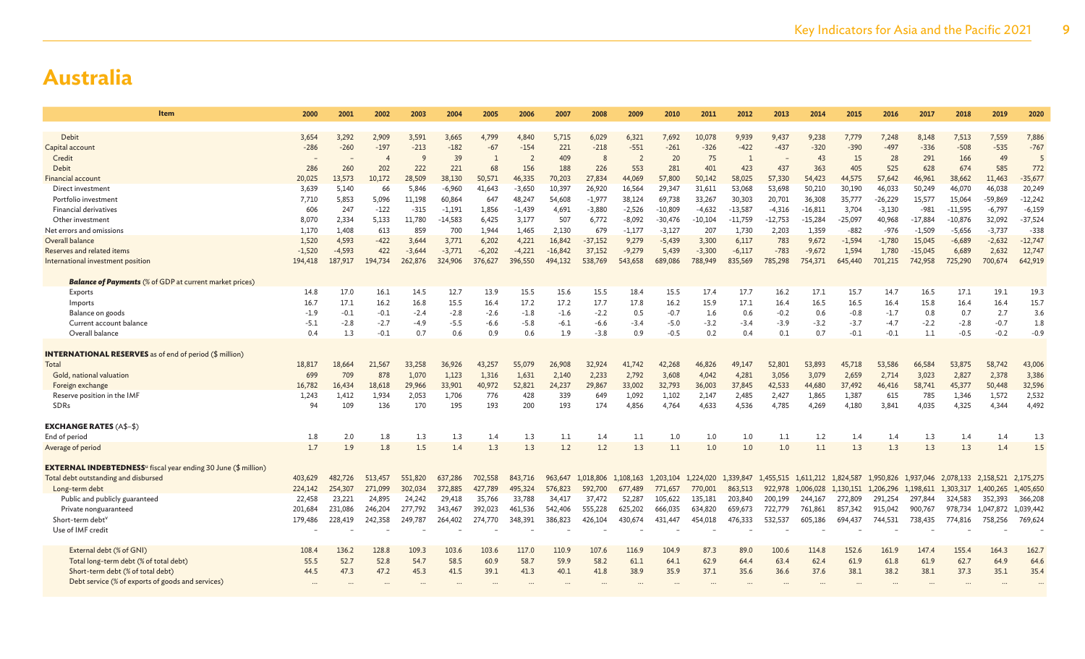| Item                                                                              | 2000            | 2001            | 2002            | 2003            | 2004            | 2005           | 2006            | 2007         | 2008            | 2009            | 2010            | 2011             | 2012            | 2013            | 2014                | 2015            | 2016            | 2017            | 2018                          | 2019            | 2020            |
|-----------------------------------------------------------------------------------|-----------------|-----------------|-----------------|-----------------|-----------------|----------------|-----------------|--------------|-----------------|-----------------|-----------------|------------------|-----------------|-----------------|---------------------|-----------------|-----------------|-----------------|-------------------------------|-----------------|-----------------|
|                                                                                   |                 |                 |                 |                 |                 |                |                 |              |                 |                 |                 |                  |                 |                 |                     |                 |                 |                 |                               |                 |                 |
| Debit<br>Capital account                                                          | 3,654<br>$-286$ | 3,292<br>$-260$ | 2,909<br>$-197$ | 3,591<br>$-213$ | 3,665<br>$-182$ | 4,799<br>$-67$ | 4,840<br>$-154$ | 5,715<br>221 | 6,029<br>$-218$ | 6,321<br>$-551$ | 7,692<br>$-261$ | 10,078<br>$-326$ | 9,939<br>$-422$ | 9,437<br>$-437$ | 9,238<br>$-320$     | 7,779<br>$-390$ | 7,248<br>$-497$ | 8,148<br>$-336$ | 7,513<br>$-508$               | 7,559<br>$-535$ | 7,886<br>$-767$ |
| Credit                                                                            |                 |                 | $\overline{4}$  |                 | 39              | $\mathbf{1}$   | $\overline{2}$  | 409          |                 | $\overline{2}$  | 20              | 75               | $\overline{1}$  |                 | 43                  | 15              | 28              | 291             | 166                           | 49              |                 |
| Debit                                                                             | 286             | 260             | 202             | 222             | 221             | 68             | 156             | 188          | 226             | 553             | 281             | 401              | 423             | 437             | 363                 | 405             | 525             | 628             | 674                           | 585             | 772             |
| <b>Financial account</b>                                                          | 20,025          | 13,573          | 10.172          | 28,509          | 38,130          | 50,571         | 46,335          | 70,203       | 27,834          | 44,069          | 57,800          | 50,142           | 58,025          | 57,330          | 54,423              | 44,575          | 57.642          | 46,961          | 38,662                        | 11,463          | $-35,677$       |
| Direct investment                                                                 | 3,639           | 5,140           | 66              | 5,846           | $-6,960$        | 41,643         | $-3,650$        | 10,397       | 26,920          | 16,564          | 29,347          | 31,611           | 53,068          | 53,698          | 50,210              | 30,190          | 46,033          | 50,249          | 46,070                        | 46,038          | 20,249          |
| Portfolio investment                                                              | 7,710           | 5,853           | 5,096           | 11,198          | 60,864          | 647            | 48,247          | 54,608       | $-1,977$        | 38,124          | 69,738          | 33,267           | 30,303          | 20,701          | 36,308              | 35,777          | $-26,229$       | 15,577          | 15,064                        | $-59,869$       | $-12,242$       |
| Financial derivatives                                                             | 606             | 247             | $-122$          | $-315$          | $-1,191$        | 1,856          | $-1,439$        | 4,691        | $-3,880$        | $-2,526$        | $-10,809$       | $-4,632$         | $-13,587$       | $-4,316$        | $-16,811$           | 3,704           | $-3,130$        | $-981$          | $-11,595$                     | $-6,797$        | $-6,159$        |
| Other investment                                                                  | 8,070           | 2,334           | 5,133           | 11,780          | $-14,583$       | 6,425          | 3,177           | 507          | 6,772           | $-8,092$        | $-30,476$       | $-10,104$        | $-11,759$       | $-12,753$       | $-15,284$           | $-25,097$       | 40,968          | $-17,884$       | $-10,876$                     | 32,092          | $-37,524$       |
| Net errors and omissions                                                          | 1.170           | 1.408           | 613             | 859             | 700             | 1.944          | 1,465           | 2,130        | 679             | $-1,177$        | $-3,127$        | 207              | 1,730           | 2,203           | 1,359               | $-882$          | $-976$          | $-1,509$        | $-5,656$                      | $-3,737$        | $-338$          |
| Overall balance                                                                   | 1,520           | 4,593           | $-422$          | 3,644           | 3,771           | 6,202          | 4,221           | 16,842       | $-37,152$       | 9,279           | $-5,439$        | 3,300            | 6,117           | 783             | 9,672               | $-1,594$        | $-1,780$        | 15,045          | $-6,689$                      | $-2,632$        | $-12,747$       |
| Reserves and related items                                                        | $-1,520$        | $-4,593$        | 422             | $-3,644$        | $-3,771$        | $-6,202$       | $-4,221$        | $-16,842$    | 37,152          | $-9,279$        | 5,439           | $-3,300$         | $-6,117$        | $-783$          | $-9,672$            | 1,594           | 1,780           | $-15,045$       | 6,689                         | 2,632           | 12,747          |
| International investment position                                                 | 194,418         | 187,917         | 194,734         | 262,876         | 324,906         | 376,627        | 396,550         | 494,132      | 538,769         | 543,658         | 689,086         | 788,949          | 835,569         | 785,298         | 754,371             | 645,440         | 701,215         | 742,958         | 725,290                       | 700,674         | 642,919         |
| <b>Balance of Payments</b> (% of GDP at current market prices)                    |                 |                 |                 |                 |                 |                |                 |              |                 |                 |                 |                  |                 |                 |                     |                 |                 |                 |                               |                 |                 |
| Exports                                                                           | 14.8            | 17.0            | 16.1            | 14.5            | 12.7            | 13.9           | 15.5            | 15.6         | 15.5            | 18.4            | 15.5            | 17.4             | 17.7            | 16.2            | 17.1                | 15.7            | 14.7            | 16.5            | 17.1                          | 19.1            | 19.3            |
| Imports                                                                           | 16.7            | 17.1            | 16.2            | 16.8            | 15.5            | 16.4           | 17.2            | 17.2         | 17.7            | 17.8            | 16.2            | 15.9             | 17.1            | 16.4            | 16.5                | 16.5            | 16.4            | 15.8            | 16.4                          | 16.4            | 15.7            |
| Balance on goods                                                                  | $-1.9$          | $-0.1$          | $-0.1$          | $-2.4$          | $-2.8$          | $-2.6$         | $-1.8$          | $-1.6$       | $-2.2$          | 0.5             | $-0.7$          | 1.6              | 0.6             | $-0.2$          | 0.6                 | $-0.8$          | $-1.7$          | 0.8             | 0.7                           | 2.7             | 3.6             |
| Current account balance                                                           | $-5.1$          | $-2.8$          | $-2.7$          | -4.9            | -5.5            | $-6.6$         | $-5.8$          | $-6.1$       | $-6.6$          | $-3.4$          | $-5.0$          | $-3.2$           | $-3.4$          | $-3.9$          | $-3.2$              | $-3.7$          | $-4.7$          | $-2.2$          | $-2.8$                        | $-0.7$          | 1.8             |
| Overall balance                                                                   | 0.4             | 1.3             | $-0.1$          | 0.7             | 0.6             | 0.9            | 0.6             | 1.9          | $-3.8$          | 0.9             | $-0.5$          | 0.2              | 0.4             | 0.1             | 0.7                 | $-0.1$          | $-0.1$          | 1.1             | $-0.5$                        | $-0.2$          | $-0.9$          |
|                                                                                   |                 |                 |                 |                 |                 |                |                 |              |                 |                 |                 |                  |                 |                 |                     |                 |                 |                 |                               |                 |                 |
| <b>INTERNATIONAL RESERVES</b> as of end of period (\$ million)<br>Total           | 18,817          | 18,664          | 21.567          | 33,258          | 36,926          | 43.257         | 55,079          | 26,908       | 32,924          | 41,742          | 42,268          | 46,826           | 49.147          | 52,801          | 53,893              | 45,718          | 53,586          | 66,584          | 53,875                        | 58,742          | 43,006          |
| Gold, national valuation                                                          | 699             | 709             | 878             | 1,070           | 1,123           | 1,316          | 1,631           | 2,140        | 2,233           | 2,792           | 3,608           | 4,042            | 4,281           | 3,056           | 3,079               | 2,659           | 2,714           | 3,023           | 2,827                         | 2,378           | 3,386           |
| Foreign exchange                                                                  | 16,782          | 16,434          | 18,618          | 29,966          | 33,901          | 40,972         | 52,821          | 24,237       | 29,867          | 33,002          | 32,793          | 36,003           | 37,845          | 42,533          | 44,680              | 37,492          | 46,416          | 58,741          | 45,377                        | 50,448          | 32,596          |
| Reserve position in the IMF                                                       | 1,243           | 1,412           | 1,934           | 2,053           | 1,706           | 776            | 428             | 339          | 649             | 1,092           | 1,102           | 2,147            | 2,485           | 2,427           | 1,865               | 1,387           | 615             | 785             | 1,346                         | 1,572           | 2,532           |
| SDRs                                                                              | 94              | 109             | 136             | 170             | 195             | 193            | 200             | 193          | 174             | 4,856           | 4,764           | 4,633            | 4,536           | 4,785           | 4,269               | 4,180           | 3,841           | 4,035           | 4,325                         | 4.344           | 4,492           |
|                                                                                   |                 |                 |                 |                 |                 |                |                 |              |                 |                 |                 |                  |                 |                 |                     |                 |                 |                 |                               |                 |                 |
| <b>EXCHANGE RATES (A\$-\$)</b>                                                    |                 |                 |                 |                 |                 |                |                 |              |                 |                 |                 |                  |                 |                 |                     |                 |                 |                 |                               |                 |                 |
| End of period                                                                     | 1.8             | 2.0             | 1.8             | 1.3             | 1.3             | 1.4            | 1.3             | 1.1          | 1.4             | 1.1             | 1.0             | 1.0              | 1.0             | 1.1             | 1.2                 | 1.4             | 1.4             | 1.3             | 1.4                           | 1.4             | 1.3             |
| Average of period                                                                 | 1.7             | 1.9             | 1.8             | 1.5             | 1.4             | 1.3            | 1.3             | 1.2          | 1.2             | 1.3             | 1.1             | 1.0              | 1.0             | 1.0             | 1.1                 | 1.3             | 1.3             | 1.3             | 1.3                           | 1.4             | 1.5             |
| <b>EXTERNAL INDEBTEDNESS</b> <sup>u</sup> fiscal year ending 30 June (\$ million) |                 |                 |                 |                 |                 |                |                 |              |                 |                 |                 |                  |                 |                 |                     |                 |                 |                 |                               |                 |                 |
| Total debt outstanding and disbursed                                              | 403,629         | 482,726         | 513.457         | 551,820         | 637,286         | 702,558        | 843,716         | 963,647      | 1,018,806       | 1.108.163       | 1.203.104       | 1,224,020        | 1,339,847       | 1,455,515       | 1.611.212 1.824.587 |                 | 1,950,826       |                 | 1.937.046 2.078.133 2.158.521 |                 | 2,175,275       |
| Long-term debt                                                                    | 224,142         | 254,307         | 271,099         | 302,034         | 372,885         | 427,789        | 495,324         | 576,823      | 592,700         | 677,489         | 771,657         | 770,001          | 863,513         | 922,978         | 1,006,028           | 1,130,151       | 1,206,296       | 1,198,611       | 1,303,317                     | 1,400,265       | 1,405,650       |
| Public and publicly guaranteed                                                    | 22,458          | 23,221          | 24,895          | 24,242          | 29,418          | 35,766         | 33,788          | 34,417       | 37,472          | 52,287          | 105,622         | 135,181          | 203,840         | 200,199         | 244,167             | 272,809         | 291.254         | 297,844         | 324,583                       | 352,393         | 366,208         |
| Private nonguaranteed                                                             | 201,684         | 231,086         | 246,204         | 277,792         | 343,467         | 392,023        | 461,536         | 542,406      | 555,228         | 625,202         | 666,035         | 634,820          | 659,673         | 722,779         | 761,861             | 857,342         | 915,042         | 900,767         | 978,734                       | 1,047,872       | 1,039,442       |
| Short-term debt <sup>v</sup>                                                      | 179,486         | 228,419         | 242,358         | 249,787         | 264,402         | 274,770        | 348,391         | 386,823      | 426,104         | 430,674         | 431,447         | 454,018          | 476,333         | 532,537         | 605,186             | 694,437         | 744,531         | 738,435         | 774,816                       | 758,256         | 769,624         |
| Use of IMF credit                                                                 |                 |                 |                 |                 |                 |                |                 |              |                 |                 |                 |                  |                 |                 |                     |                 |                 |                 |                               |                 |                 |
| External debt (% of GNI)                                                          | 108.4           | 136.2           | 128.8           | 109.3           | 103.6           | 103.6          | 117.0           | 110.9        | 107.6           | 116.9           | 104.9           | 87.3             | 89.0            | 100.6           | 114.8               | 152.6           | 161.9           | 147.4           | 155.4                         | 164.3           | 162.7           |
| Total long-term debt (% of total debt)                                            | 55.5            | 52.7            | 52.8            | 54.7            | 58.5            | 60.9           | 58.7            | 59.9         | 58.2            | 61.1            | 64.1            | 62.9             | 64.4            | 63.4            | 62.4                | 61.9            | 61.8            | 61.9            | 62.7                          | 64.9            | 64.6            |
| Short-term debt (% of total debt)                                                 | 44.5            | 47.3            | 47.2            | 45.3            | 41.5            | 39.1           | 41.3            | 40.1         | 41.8            | 38.9            | 35.9            | 37.1             | 35.6            | 36.6            | 37.6                | 38.1            | 38.2            | 38.1            | 37.3                          | 35.1            | 35.4            |
| Debt service (% of exports of goods and services)                                 |                 |                 |                 |                 |                 |                |                 |              |                 |                 |                 |                  |                 |                 |                     |                 |                 |                 |                               |                 |                 |
|                                                                                   |                 |                 |                 |                 |                 |                |                 |              |                 |                 |                 |                  |                 |                 |                     |                 |                 |                 |                               |                 |                 |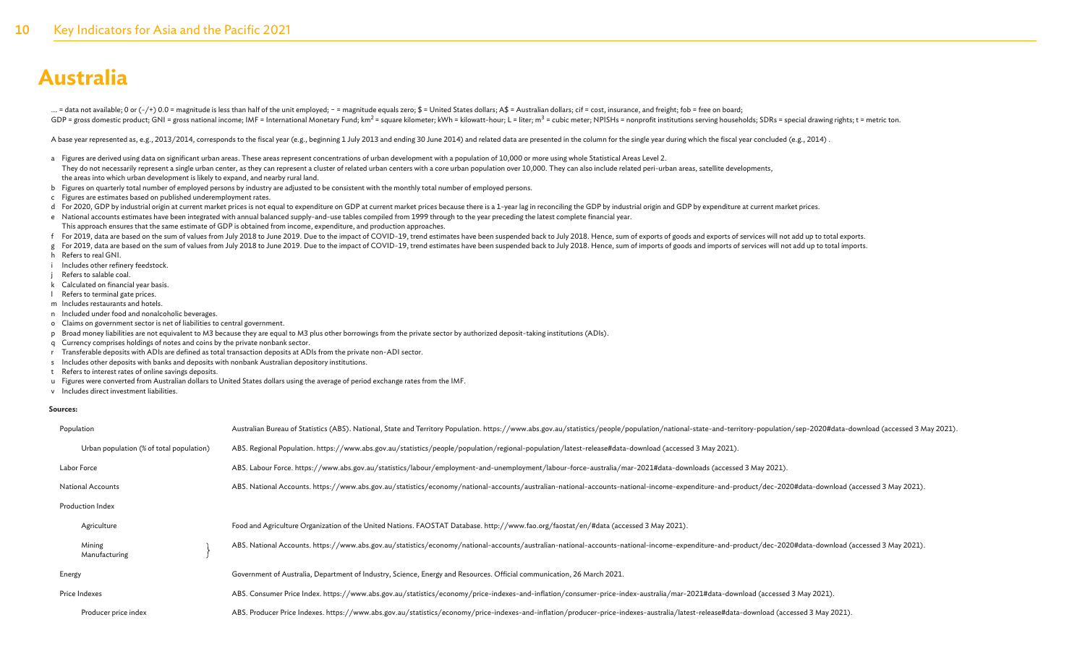... = data not available; 0 or (-/+) 0.0 = magnitude is less than half of the unit employed; - = magnitude equals zero; \$ = United States dollars; A\$ = Australian dollars; cif = cost, insurance, and freight; fob = free on GDP = gross domestic product; GNI = gross national income; IMF = International Monetary Fund; km<sup>2</sup> = square kilometer; kWh = kilowatt-hour; L = liter; m<sup>3</sup> = cubic meter; NPISHs = nonprofit institutions serving households

A base year represented as, e.g., 2013/2014, corresponds to the fiscal year (e.g., beginning 1 July 2013 and ending 30 June 2014) and related data are presented in the column for the single year during which the fiscal yea

- a Figures are derived using data on significant urban areas. These areas represent concentrations of urban development with a population of 10,000 or more using whole Statistical Areas Level 2.
- They do not necessarily represent a single urban center, as they can represent a cluster of related urban centers with a core urban population over 10,000. They can also include related peri-urban areas, satellite developm the areas into which urban development is likely to expand, and nearby rural land.
- b Figures on quarterly total number of employed persons by industry are adjusted to be consistent with the monthly total number of employed persons.
- c Figures are estimates based on published underemployment rates.
- d For 2020, GDP by industrial origin at current market prices is not equal to expenditure on GDP at current market prices because there is a 1-year lag in reconciling the GDP by industrial origin and GDP by expenditure at
- e National accounts estimates have been integrated with annual balanced supply-and-use tables compiled from 1999 through to the year preceding the latest complete financial year. This approach ensures that the same estimate of GDP is obtained from income, expenditure, and production approaches.
- f For 2019, data are based on the sum of values from July 2018 to June 2019. Due to the impact of COVID-19, trend estimates have been suspended back to July 2018. Hence, sum of exports of goods and exports of services will
- g For 2019, data are based on the sum of values from July 2018 to June 2019. Due to the impact of COVID-19, trend estimates have been suspended back to July 2018. Hence, sum of imports of goods and imports of services will
- h Refers to real GNI.
- i Includes other refinery feedstock.
- Refers to salable coal.
- k Calculated on financial year basis.
- l Refers to terminal gate prices.
- m Includes restaurants and hotels.
- n Included under food and nonalcoholic beverages.
- o Claims on government sector is net of liabilities to central government.
- p Broad money liabilities are not equivalent to M3 because they are equal to M3 plus other borrowings from the private sector by authorized deposit-taking institutions (ADIs).
- q Currency comprises holdings of notes and coins by the private nonbank sector.
- r Transferable deposits with ADIs are defined as total transaction deposits at ADIs from the private non-ADI sector.
- s Includes other deposits with banks and deposits with nonbank Australian depository institutions.
- t Refers to interest rates of online savings deposits.
- u Figures were converted from Australian dollars to United States dollars using the average of period exchange rates from the IMF.
- v Includes direct investment liabilities.

#### **Sources:**

| Population                               | Australian Bureau of Statistics (ABS). National, State and Territory Population. https://www.abs.gov.au/statistics/people/population/national-state-and-territory-population/sep-2020#data-download (accessed 3 May 2021). |
|------------------------------------------|----------------------------------------------------------------------------------------------------------------------------------------------------------------------------------------------------------------------------|
| Urban population (% of total population) | ABS. Regional Population. https://www.abs.gov.au/statistics/people/population/regional-population/latest-release#data-download (accessed 3 May 2021).                                                                      |
| Labor Force                              | ABS. Labour Force. https://www.abs.gov.au/statistics/labour/employment-and-unemployment/labour-force-australia/mar-2021#data-downloads (accessed 3 May 2021).                                                              |
| <b>National Accounts</b>                 | ABS. National Accounts. https://www.abs.gov.au/statistics/economy/national-accounts/australian-national-accounts-national-income-expenditure-and-product/dec-2020#data-download (accessed 3 May 2021).                     |
| Production Index                         |                                                                                                                                                                                                                            |
| Agriculture                              | Food and Agriculture Organization of the United Nations. FAOSTAT Database. http://www.fao.org/faostat/en/#data (accessed 3 May 2021).                                                                                      |
| Mining<br>Manufacturing                  | ABS. National Accounts. https://www.abs.gov.au/statistics/economy/national-accounts/australian-national-accounts-national-income-expenditure-and-product/dec-2020#data-download (accessed 3 May 2021).                     |
| Energy                                   | Government of Australia, Department of Industry, Science, Energy and Resources. Official communication, 26 March 2021.                                                                                                     |
| Price Indexes                            | ABS. Consumer Price Index. https://www.abs.gov.au/statistics/economy/price-indexes-and-inflation/consumer-price-index-australia/mar-2021#data-download (accessed 3 May 2021).                                              |
| Producer price index                     | ABS. Producer Price Indexes. https://www.abs.gov.au/statistics/economy/price-indexes-and-inflation/producer-price-indexes-australia/latest-release#data-download (accessed 3 May 2021).                                    |